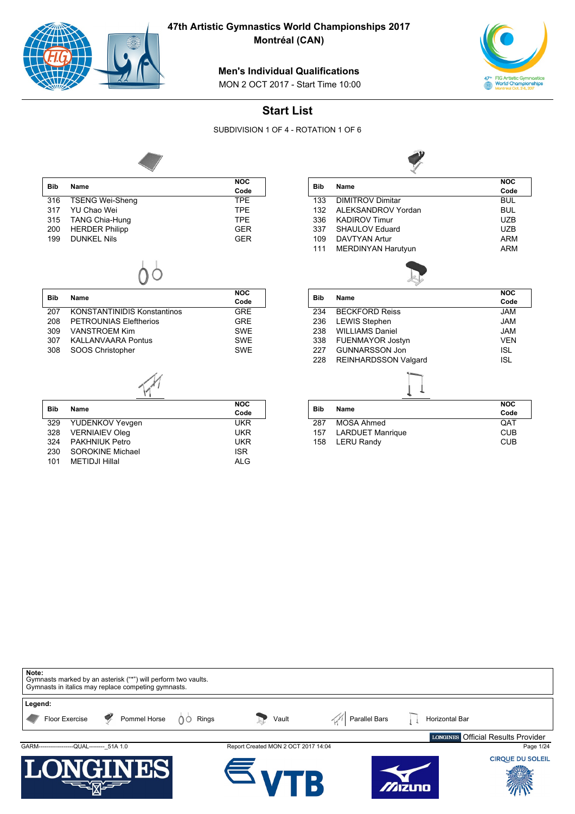

**Montréal (CAN)**

#### **Men's Individual Qualifications**

MON 2 OCT 2017 - Start Time 10:00



**NOC**

# **Start List**

SUBDIVISION 1 OF 4 - ROTATION 1 OF 6

**Bib Name**



| <b>Bib</b> | Name                   | <b>NOC</b> |
|------------|------------------------|------------|
|            |                        | Code       |
| 316        | <b>TSENG Wei-Sheng</b> | <b>TPE</b> |
| 317        | YU Chao Wei            | <b>TPE</b> |
| 315        | <b>TANG Chia-Hung</b>  | TPE        |
| 200        | <b>HERDER Philipp</b>  | <b>GER</b> |
| 199        | <b>DUNKEL Nils</b>     | <b>GER</b> |
|            |                        |            |
|            |                        |            |

ΩC

| <b>Bib</b> |                                    | NOC        |
|------------|------------------------------------|------------|
|            | Name                               | Code       |
| 207        | <b>KONSTANTINIDIS Konstantinos</b> | <b>GRE</b> |
| 208        | <b>PETROUNIAS Eleftherios</b>      | <b>GRE</b> |
| 309        | VANSTROEM Kim                      | <b>SWE</b> |
| 307        | <b>KALLANVAARA Pontus</b>          | <b>SWE</b> |
| 308        | SOOS Christopher                   | <b>SWE</b> |
|            |                                    |            |

$$
\overline{\mathcal{M}}
$$

|            |                         | <b>NOC</b> |
|------------|-------------------------|------------|
| <b>Bib</b> | Name                    | Code       |
| 329        | <b>YUDENKOV Yevgen</b>  | <b>UKR</b> |
| 328        | <b>VERNIAIEV Oleg</b>   | <b>UKR</b> |
| 324        | <b>PAKHNIUK Petro</b>   | <b>UKR</b> |
| 230        | <b>SOROKINE Michael</b> | <b>ISR</b> |
| 101        | METIDJI Hillal          | <b>ALG</b> |

| вю         | name                        | Code       |
|------------|-----------------------------|------------|
| 133        | DIMITROV Dimitar            | <b>BUL</b> |
| 132        | ALEKSANDROV Yordan          | <b>BUL</b> |
| 336        | <b>KADIROV Timur</b>        | <b>UZB</b> |
| 337        | <b>SHAULOV Eduard</b>       | UZB        |
| 109        | <b>DAVTYAN Artur</b>        | <b>ARM</b> |
| 111        | <b>MERDINYAN Harutyun</b>   | <b>ARM</b> |
|            |                             |            |
| <b>Bib</b> | Name                        | <b>NOC</b> |
|            |                             | Code       |
| 234        | <b>BECKFORD Reiss</b>       | <b>JAM</b> |
|            |                             |            |
| 236        | <b>LEWIS Stephen</b>        | MAI.       |
| 238        | <b>WILLIAMS Daniel</b>      | <b>JAM</b> |
| 338        | <b>FUENMAYOR Jostyn</b>     | <b>VEN</b> |
| 227        | <b>GUNNARSSON Jon</b>       | <b>ISL</b> |
| 228        | <b>REINHARDSSON Valgard</b> | <b>ISL</b> |
|            |                             |            |
|            |                             | <b>NOC</b> |
| <b>Bib</b> | Name                        | Code       |
| 287        | <b>MOSA Ahmed</b>           | QAT        |
| 157        | <b>LARDUET Manrique</b>     | <b>CUB</b> |

158 LERU Randy CUB

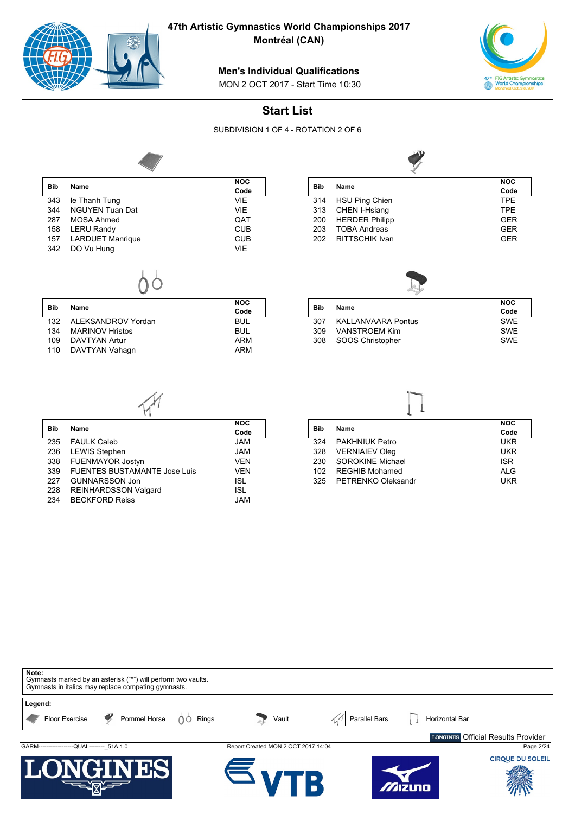

 $\overline{\phantom{a}}$ 

**47th Artistic Gymnastics World Championships 2017**

**Montréal (CAN)**

#### **Men's Individual Qualifications**

MON 2 OCT 2017 - Start Time 10:30



# **Start List**

SUBDIVISION 1 OF 4 - ROTATION 2 OF 6



|            |                         | <b>NOC</b> |
|------------|-------------------------|------------|
| <b>Bib</b> | Name                    | Code       |
| 343        | le Thanh Tung           | VIE        |
| 344        | <b>NGUYEN Tuan Dat</b>  | <b>VIE</b> |
| 287        | <b>MOSA Ahmed</b>       | QAT        |
| 158        | <b>LERU Randy</b>       | <b>CUB</b> |
| 157        | <b>LARDUET Manrique</b> | <b>CUB</b> |
| 342        | DO Vu Hung              | <b>VIE</b> |
|            |                         |            |

| ue |  |  |
|----|--|--|
|    |  |  |

|     |                        | <b>NOC</b> |
|-----|------------------------|------------|
| Bib | Name                   | Code       |
| 132 | ALEKSANDROV Yordan     | <b>BUL</b> |
| 134 | <b>MARINOV Hristos</b> | <b>BUL</b> |
| 109 | DAVTYAN Artur          | ARM        |
| 110 | DAVTYAN Vahaqn         | ARM        |

|                       | <b>NOC</b> |
|-----------------------|------------|
|                       | Code       |
| <b>HSU Ping Chien</b> | <b>TPF</b> |
| 313 CHEN I-Hsiang     | <b>TPF</b> |
| <b>HERDER Philipp</b> | <b>GER</b> |
| <b>TOBA Andreas</b>   | GFR        |
| RITTSCHIK Ivan        | GFR        |
|                       | Name       |



|            |                           | <b>NOC</b> |
|------------|---------------------------|------------|
| <b>Bib</b> | Name                      | Code       |
| 307        | <b>KALLANVAARA Pontus</b> | <b>SWF</b> |
| 309        | <b>VANSTROEM Kim</b>      | <b>SWE</b> |
| 308        | SOOS Christopher          | <b>SWE</b> |

 $\Box$ 



339 FUENTES BUSTAMANTE Jose Luis VEN<br>227 GUNNARSSON Jon

228 REINHARDSSON Valgard ISL 234 BECKFORD Reiss JAM

GUNNARSSON Jon

| <b>Bib</b> | Name                    | <b>NOC</b> |
|------------|-------------------------|------------|
|            |                         | Code       |
| 324        | <b>PAKHNIUK Petro</b>   | UKR        |
| 328        | <b>VERNIAIEV Oleg</b>   | <b>UKR</b> |
| 230        | <b>SOROKINE Michael</b> | <b>ISR</b> |
| 102        | <b>REGHIB Mohamed</b>   | <b>ALG</b> |
| 325        | PETRENKO Oleksandr      | UKR        |
|            |                         |            |

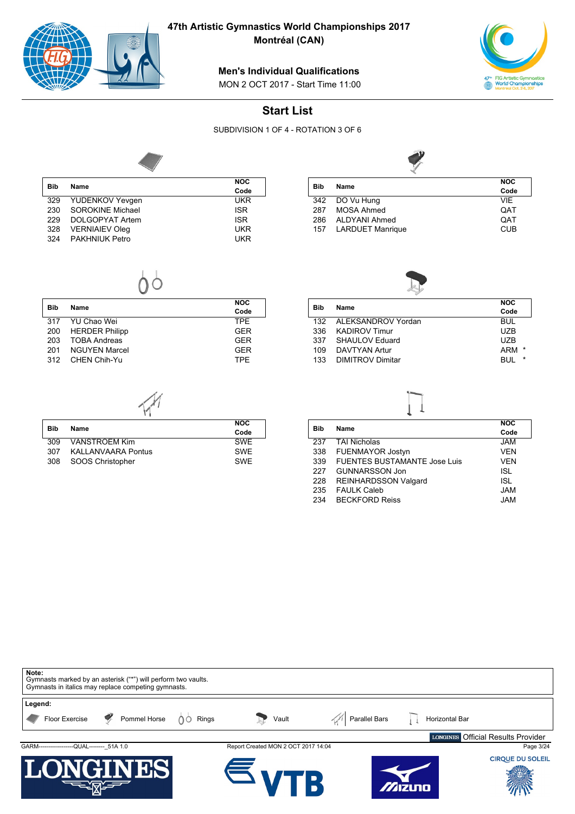

317 YU Chao Wei

312 CHEN Chih-Yu

**47th Artistic Gymnastics World Championships 2017**

**Montréal (CAN)**

# **Men's Individual Qualifications**

MON 2 OCT 2017 - Start Time 11:00



# **Start List**

SUBDIVISION 1 OF 4 - ROTATION 3 OF 6



| ▽                      |                               |
|------------------------|-------------------------------|
|                        | <b>NOC</b>                    |
|                        | Code                          |
| <b>YUDENKOV Yevgen</b> | <b>UKR</b>                    |
| SOROKINE Michael       | <b>ISR</b>                    |
| DOLGOPYAT Artem        | <b>ISR</b>                    |
|                        | <b>UKR</b>                    |
| <b>PAKHNIUK Petro</b>  | <b>UKR</b>                    |
|                        | Name<br><b>VERNIAIEV Oleg</b> |





| Bib  | Name                 | <b>NOC</b>      |
|------|----------------------|-----------------|
|      |                      | Code            |
| 132. | ALEKSANDROV Yordan   | <b>BUL</b>      |
| 336  | <b>KADIROV Timur</b> | UZB             |
| 337  | SHAULOV Eduard       | UZB             |
| 109  | DAVTYAN Artur        | ARM<br>*        |
| 133  | DIMITROV Dimitar     | $\star$<br>BUL. |
|      |                      |                 |



**NOC Code**

|            |                           | <b>NOC</b> |
|------------|---------------------------|------------|
| <b>Bib</b> | Name                      | Code       |
| 309        | <b>VANSTROEM Kim</b>      | <b>SWE</b> |
| 307        | <b>KALLANVAARA Pontus</b> | <b>SWE</b> |
| 308        | SOOS Christopher          | <b>SWE</b> |

200 HERDER Philipp GER 203 TOBA Andreas GER<br>201 NGUYEN Marcel Cass Communications GER NGUYEN Marcel GER<br>CHEN Chih-Yu TPE

 $\bigcirc$ 

| Bib | <b>Name</b>                         | <b>NOC</b> |
|-----|-------------------------------------|------------|
|     |                                     | Code       |
| 237 | <b>TAI Nicholas</b>                 | <b>JAM</b> |
| 338 | <b>FUENMAYOR Jostyn</b>             | <b>VEN</b> |
| 339 | <b>FUENTES BUSTAMANTE Jose Luis</b> | <b>VEN</b> |
| 227 | <b>GUNNARSSON Jon</b>               | ISL        |
| 228 | <b>REINHARDSSON Valgard</b>         | ISL        |
| 235 | <b>FAULK Caleb</b>                  | <b>JAM</b> |
| 234 | <b>BECKFORD Reiss</b>               | <b>JAM</b> |

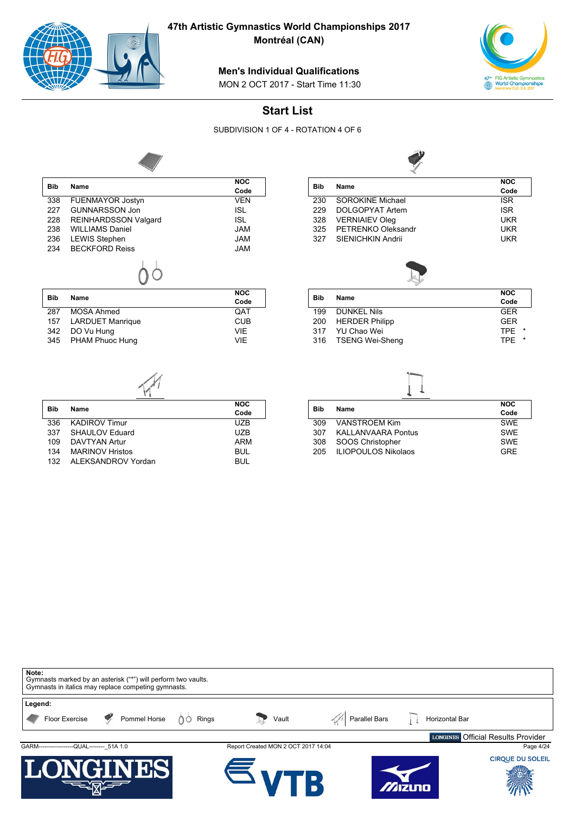

**Montréal (CAN)**

#### **Men's Individual Qualifications**

MON 2 OCT 2017 - Start Time 11:30



**NOC**

# **Start List**

SUBDIVISION 1 OF 4 - ROTATION 4 OF 6



| <b>Bib</b> | Name                        | <b>NOC</b> |
|------------|-----------------------------|------------|
|            |                             | Code       |
| 338        | <b>FUENMAYOR Jostyn</b>     | <b>VEN</b> |
| 227        | <b>GUNNARSSON Jon</b>       | ISL        |
| 228        | <b>REINHARDSSON Valgard</b> | <b>ISL</b> |
| 238        | <b>WILLIAMS Daniel</b>      | <b>JAM</b> |
| 236        | <b>LEWIS Stephen</b>        | JAM        |
| 234        | <b>BECKFORD Reiss</b>       | <b>JAM</b> |
|            |                             |            |
| <b>Bib</b> | Name                        | <b>NOC</b> |
|            |                             | Code       |
| 287        | <b>MOSA Ahmed</b>           | QAT        |
| 157        | <b>LARDUET Manrique</b>     | <b>CUB</b> |

| Bib |                         | NOC        |
|-----|-------------------------|------------|
|     | Name                    | Code       |
| 230 | <b>SOROKINE Michael</b> | <b>ISR</b> |
| 229 | DOLGOPYAT Artem         | <b>ISR</b> |
| 328 | <b>VERNIAIEV Oleg</b>   | <b>UKR</b> |
| 325 | PETRENKO Oleksandr      | <b>UKR</b> |
| 327 | SIENICHKIN Andrii       | <b>UKR</b> |
|     |                         |            |
|     |                         |            |

|     |                       | <b>NOC</b>            |
|-----|-----------------------|-----------------------|
| Bib | Name                  | Code                  |
| 199 | <b>DUNKEL Nils</b>    | <b>GFR</b>            |
| 200 | <b>HERDER Philipp</b> | <b>GFR</b>            |
| 317 | YU Chao Wei           | <b>TPF</b><br>$\star$ |
|     | 316 TSENG Wei-Sheng   | TPF                   |

 $\sqrt{2}$ 



342 DO Vu Hung VIE 345 PHAM Phuoc Hung **VIE** 

|     |                        | <b>NOC</b> |
|-----|------------------------|------------|
| Bib | Name                   | Code       |
| 336 | <b>KADIROV Timur</b>   | UZB        |
| 337 | SHAULOV Eduard         | UZB        |
| 109 | DAVTYAN Artur          | ARM        |
| 134 | <b>MARINOV Hristos</b> | BUL        |
| 132 | ALEKSANDROV Yordan     | BUI.       |

|     |                            | <b>NOC</b> |
|-----|----------------------------|------------|
| Bib | Name                       | Code       |
| 309 | <b>VANSTROEM Kim</b>       | <b>SWE</b> |
| 307 | <b>KALLANVAARA Pontus</b>  | <b>SWE</b> |
| 308 | SOOS Christopher           | <b>SWE</b> |
| 205 | <b>ILIOPOULOS Nikolaos</b> | GRF        |

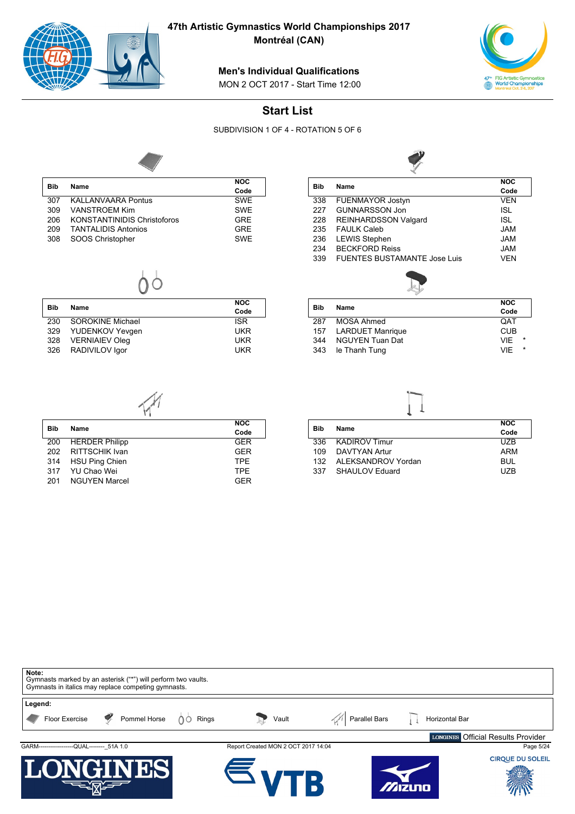

**Montréal (CAN)**

#### **Men's Individual Qualifications**

MON 2 OCT 2017 - Start Time 12:00



# **Start List**

SUBDIVISION 1 OF 4 - ROTATION 5 OF 6



| <b>Bib</b> | Name                               | <b>NOC</b> |
|------------|------------------------------------|------------|
|            |                                    | Code       |
| 307        | <b>KALLANVAARA Pontus</b>          | <b>SWF</b> |
| 309        | VANSTROEM Kim                      | <b>SWE</b> |
| 206        | <b>KONSTANTINIDIS Christoforos</b> | <b>GRE</b> |
| 209        | <b>TANTALIDIS Antonios</b>         | <b>GRE</b> |
| 308        | SOOS Christopher                   | <b>SWE</b> |
|            |                                    |            |

| <b>Bib</b> | Name                   | <b>NOC</b><br>Code |
|------------|------------------------|--------------------|
| 230        | SOROKINE Michael       | <b>ISR</b>         |
| 329        | <b>YUDENKOV Yevgen</b> | <b>UKR</b>         |
|            | 328 VERNIAIEV Oleg     | <b>UKR</b>         |
| 326        | RADIVILOV Igor         | <b>UKR</b>         |

| Bib | Name                                | <b>NOC</b> |
|-----|-------------------------------------|------------|
|     |                                     | Code       |
| 338 | <b>FUENMAYOR Jostyn</b>             | VEN        |
| 227 | <b>GUNNARSSON Jon</b>               | ISL        |
| 228 | REINHARDSSON Valgard                | <b>ISL</b> |
| 235 | <b>FAULK Caleb</b>                  | <b>JAM</b> |
| 236 | <b>LEWIS Stephen</b>                | <b>JAM</b> |
| 234 | <b>BECKFORD Reiss</b>               | <b>JAM</b> |
| 339 | <b>FUENTES BUSTAMANTE Jose Luis</b> | VEN        |
|     |                                     |            |



| Bib | Name                   | <b>NOC</b>     |
|-----|------------------------|----------------|
|     |                        | Code           |
| 287 | MOSA Ahmed             | <b>QAT</b>     |
|     | 157 LARDUET Manrique   | <b>CUB</b>     |
| 344 | <b>NGUYEN Tuan Dat</b> | VIF<br>$\star$ |
| 343 | le Thanh Tung          | $\star$<br>VIF |
|     |                        |                |



| Bib | Name                 | <b>NOC</b> |  |  |
|-----|----------------------|------------|--|--|
|     |                      | Code       |  |  |
| 336 | <b>KADIROV Timur</b> | UZB.       |  |  |
| 109 | DAVTYAN Artur        | ARM        |  |  |
| 132 | ALEKSANDROV Yordan   | <b>BUL</b> |  |  |
| 337 | SHAULOV Eduard       | UZB        |  |  |

| Note:<br>Gymnasts marked by an asterisk ("*") will perform two vaults.<br>Gymnasts in italics may replace competing gymnasts. |                                     |                                                     |
|-------------------------------------------------------------------------------------------------------------------------------|-------------------------------------|-----------------------------------------------------|
| Legend:                                                                                                                       |                                     |                                                     |
| $\bullet$<br>Pommel Horse $\left \left.\bigcirc\right>0\right $ Rings<br>Floor Exercise                                       | Parallel Bars<br>Vault<br>R         | Horizontal Bar                                      |
|                                                                                                                               |                                     | <b>Official Results Provider</b><br><b>LONGINES</b> |
| GARM-------------------QUAL-------- 51A 1.0                                                                                   | Report Created MON 2 OCT 2017 14:04 | Page 5/24                                           |
| <b>LONGIN</b><br><b>13S</b>                                                                                                   |                                     | <b>CIRQUE DU SOLEIL</b><br><i><b>Mizuno</b></i>     |



317 YU Chao Wei Santa Chao TPE (1999)<br>1991 NGUYEN Marcel Chao Chao Chao GER

**NGUYEN Marcel**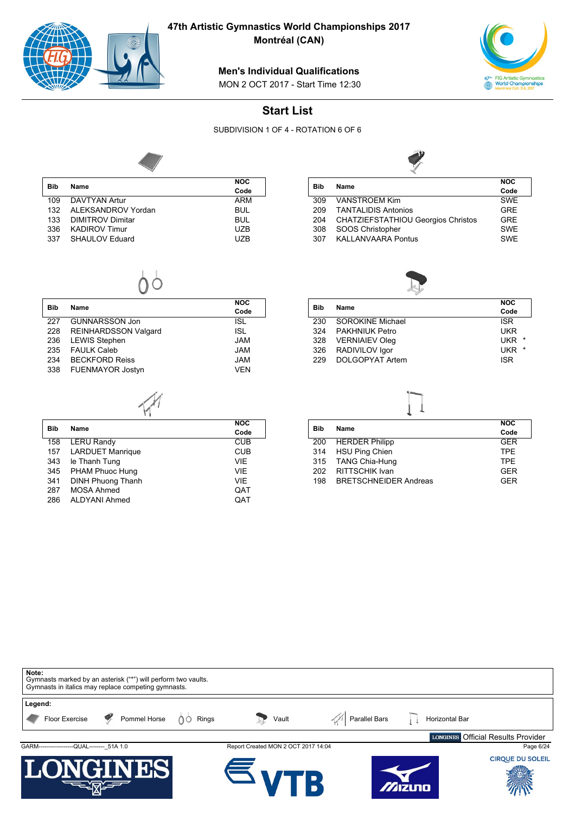

**Bib Name**

227 GUNNARSSON Jon

FAULK Caleb

le Thanh Tung

DINH Phuong Thanh

FUENMAYOR Jostyn

**47th Artistic Gymnastics World Championships 2017**

**Montréal (CAN)**

# 47<sup>th</sup> FIG Artistic Gymnastics<br>World Championships<br>Montréal Oct. 2-8, 2017

# MON 2 OCT 2017 - Start Time 12:30

**Men's Individual Qualifications**

#### **Start List**

SUBDIVISION 1 OF 4 - ROTATION 6 OF 6

**NOC** Code<br>**ISL** 

**NOC Code**



| <b>Bib</b> | Name                    | <b>NOC</b> |
|------------|-------------------------|------------|
|            |                         | Code       |
| 109        | DAVTYAN Artur           | ARM        |
| 132        | ALEKSANDROV Yordan      | <b>BUL</b> |
| 133        | <b>DIMITROV Dimitar</b> | <b>BUL</b> |
| 336        | <b>KADIROV Timur</b>    | <b>UZB</b> |
| 337        | SHAULOV Eduard          | UZB        |
|            |                         |            |

228 REINHARDSSON Valgard ISL 236 LEWIS Stephen JAM JAM<br>235 FAULK Caleb

ΛÒ

234 BECKFORD Reiss JAM

158 LERU Randy CUB<br>157 LARDUET Manrique CUB 157 LARDUET Manrique CUB

345 PHAM Phuoc Hung (1998) 1999 VIE<br>341 DINH Phuong Thanh (1998) VIE

287 MOSA Ahmed QAT 286 ALDYANI Ahmed QAT

| Bib | Name                                      | <b>NOC</b> |
|-----|-------------------------------------------|------------|
|     |                                           | Code       |
| 309 | <b>VANSTROEM Kim</b>                      | <b>SWE</b> |
| 209 | <b>TANTALIDIS Antonios</b>                | <b>GRE</b> |
| 204 | <b>CHATZIEFSTATHIOU Georgios Christos</b> | <b>GRE</b> |
| 308 | SOOS Christopher                          | <b>SWE</b> |
| 307 | <b>KALLANVAARA Pontus</b>                 | <b>SWE</b> |



|     |                         | <b>NOC</b> |
|-----|-------------------------|------------|
| Bib | Name                    | Code       |
| 230 | <b>SOROKINE Michael</b> | <b>ISR</b> |
| 324 | <b>PAKHNIUK Petro</b>   | <b>UKR</b> |
| 328 | <b>VERNIAIEV Oleg</b>   | UKR<br>*   |
| 326 | RADIVILOV Igor          | UKR<br>*   |
| 229 | DOLGOPYAT Artem         | <b>ISR</b> |



| <b>Bib</b> | Name                         | <b>NOC</b> |
|------------|------------------------------|------------|
|            |                              | Code       |
| 200        | <b>HERDER Philipp</b>        | GFR        |
| 314        | <b>HSU Ping Chien</b>        | <b>TPE</b> |
|            | 315 TANG Chia-Hung           | <b>TPF</b> |
| 202        | <b>RITTSCHIK Ivan</b>        | <b>GER</b> |
| 198        | <b>BRETSCHNEIDER Andreas</b> | GFR        |

| Note:<br>Gymnasts marked by an asterisk ("*") will perform two vaults.<br>Gymnasts in italics may replace competing gymnasts. |              |                   |                                     |               |                |                 |                                               |
|-------------------------------------------------------------------------------------------------------------------------------|--------------|-------------------|-------------------------------------|---------------|----------------|-----------------|-----------------------------------------------|
| Legend:<br>Floor Exercise                                                                                                     | Pommel Horse | Rings<br>$\Omega$ | Vault                               | Parallel Bars |                | Horizontal Bar  |                                               |
| GARM--------------------QUAL-------- 51A 1.0                                                                                  |              |                   | Report Created MON 2 OCT 2017 14:04 |               |                | <b>LONGINES</b> | <b>Official Results Provider</b><br>Page 6/24 |
| <b>LONGINES</b>                                                                                                               |              |                   |                                     |               | <i>m</i> izuno |                 | <b>CIRQUE DU SOLEIL</b>                       |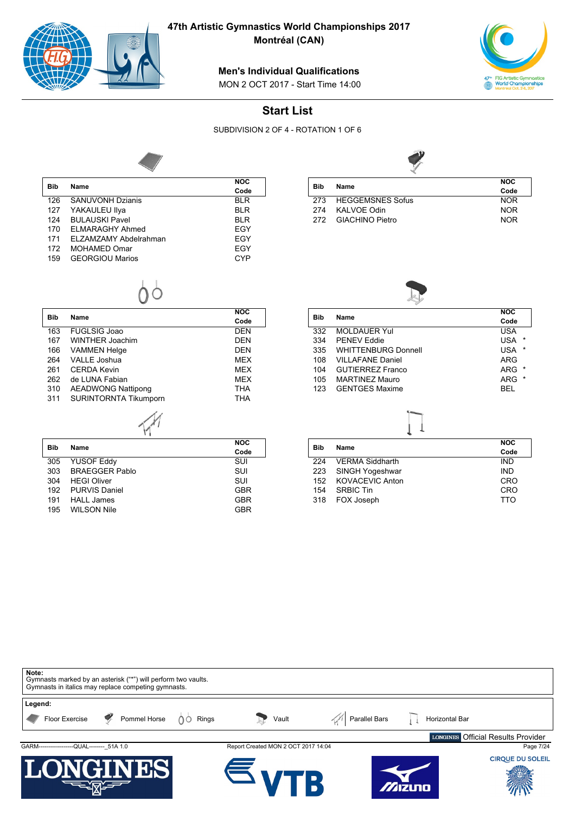

**47th Artistic Gymnastics World Championships 2017**

**Montréal (CAN)**

#### **Men's Individual Qualifications**

MON 2 OCT 2017 - Start Time 14:00



# **Start List**

SUBDIVISION 2 OF 4 - ROTATION 1 OF 6

**NOC Code**



| Bib |                         | <b>NOC</b> |
|-----|-------------------------|------------|
|     | Name                    | Code       |
| 273 | <b>HEGGEMSNES Sofus</b> | <b>NOR</b> |
| 274 | KALVOE Odin             | <b>NOR</b> |
| 272 | <b>GIACHINO Pietro</b>  | <b>NOR</b> |



| Bib | Name                       | <b>NOC</b>            |
|-----|----------------------------|-----------------------|
|     |                            | Code                  |
| 332 | <b>MOLDAUER Yul</b>        | USA                   |
| 334 | <b>PENEV Eddie</b>         | <b>USA</b><br>$\star$ |
| 335 | <b>WHITTENBURG Donnell</b> | <b>USA</b><br>$\star$ |
| 108 | <b>VILLAFANE Daniel</b>    | ARG                   |
| 104 | <b>GUTIERREZ Franco</b>    | ARG<br>$\star$        |
| 105 | <b>MARTINEZ Mauro</b>      | ARG<br>$\star$        |
| 123 | <b>GENTGES Maxime</b>      | BEL                   |
|     |                            |                       |

| Bib | Name                   | <b>NOC</b> |
|-----|------------------------|------------|
|     |                        | Code       |
| 224 | <b>VERMA Siddharth</b> | <b>IND</b> |
| 223 | SINGH Yogeshwar        | <b>IND</b> |
| 152 | <b>KOVACEVIC Anton</b> | CRO        |
| 154 | <b>SRBIC Tin</b>       | CRO        |
| 318 | FOX Joseph             | TTO        |





126 SANUVONH Dzianis BLR<br>127 YAKAULEU IIya BLR BLR 127 YAKAULEU Ilya BLR 124 BULAUSKI Pavel<br>170 ELMARAGHY Ahmed BLR EGY 170 ELMARAGHY Ahmed EGY

ELZAMZAMY Abdelrahman

|            |                           | <b>NOC</b>   |
|------------|---------------------------|--------------|
| <b>Bib</b> | Name                      | Code         |
| 163        | <b>FUGLSIG Joao</b>       | <b>DEN</b>   |
| 167        | WINTHER Joachim           | <b>DFN</b>   |
| 166        | <b>VAMMEN Helge</b>       | <b>DEN</b>   |
| 264        | <b>VALLE Joshua</b>       | <b>MEX</b>   |
| 261        | CFRDA Kevin               | <b>MEX</b>   |
| 262        | de LUNA Fabian            | <b>MEX</b>   |
| 310        | <b>AEADWONG Nattipong</b> | <b>THA</b>   |
| 311        | SURINTORNTA Tikumporn     | THA          |
|            |                           |              |
|            |                           | $\mathbf{A}$ |

|            |                       | <b>NOC</b> |
|------------|-----------------------|------------|
| <b>Bib</b> | <b>Name</b>           | Code       |
| 305        | <b>YUSOF Eddy</b>     | SUI        |
| 303        | <b>BRAEGGER Pablo</b> | SUI        |
| 304        | <b>HEGI Oliver</b>    | SUI        |
| 192        | <b>PURVIS Daniel</b>  | <b>GBR</b> |
| 191        | <b>HALL James</b>     | <b>GBR</b> |
| 195        | <b>WILSON Nile</b>    | <b>GBR</b> |
|            |                       |            |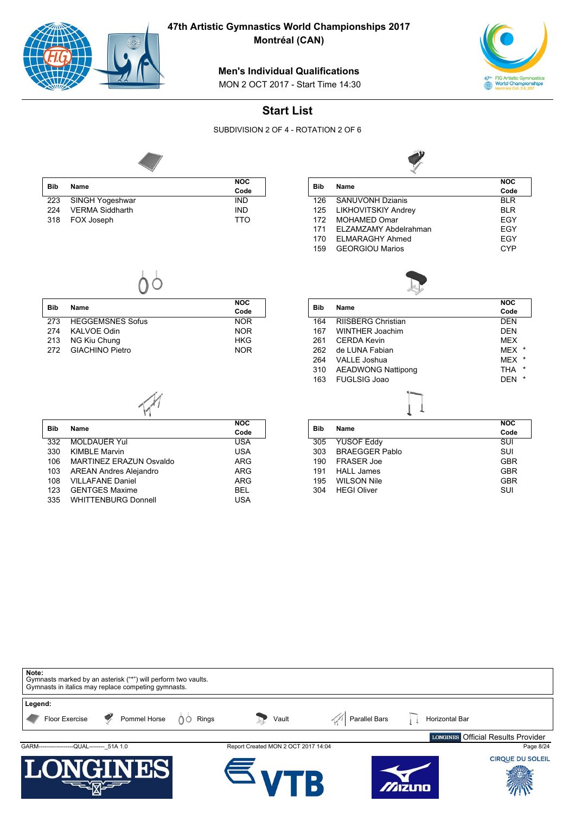

 $\overline{\phantom{a}}$ 

**47th Artistic Gymnastics World Championships 2017**

**Montréal (CAN)**

# 47<sup>th</sup> FIG Artistic Gymnastics<br>World Championships<br>Montréal Oct. 2-8, 2017

# **Men's Individual Qualifications**

MON 2 OCT 2017 - Start Time 14:30



SUBDIVISION 2 OF 4 - ROTATION 2 OF 6

**NOC Code**



| <b>Bib</b> |                     | <b>NOC</b> |
|------------|---------------------|------------|
|            | Name                | Code       |
|            | 223 SINGH Yogeshwar | <b>IND</b> |
| 224        | VERMA Siddharth     | <b>IND</b> |
|            | 318 FOX Joseph      | <b>TTO</b> |

| Bib | Name                    | <b>NOC</b> |
|-----|-------------------------|------------|
|     |                         | Code       |
| 126 | <b>SANUVONH Dzianis</b> | <b>BLR</b> |
| 125 | LIKHOVITSKIY Andrey     | <b>BLR</b> |
| 172 | <b>MOHAMED Omar</b>     | EGY        |
| 171 | ELZAMZAMY Abdelrahman   | EGY        |
| 170 | ELMARAGHY Ahmed         | EGY        |
| 159 | <b>GEORGIOU Marios</b>  | CYP        |
|     |                         |            |



| <b>Bib</b> | Name                    | <b>NOC</b><br>Code |
|------------|-------------------------|--------------------|
| 273        | <b>HEGGEMSNES Sofus</b> | <b>NOR</b>         |
| 274        | <b>KALVOE Odin</b>      | <b>NOR</b>         |
| 213        | NG Kiu Chung            | HKG                |
| 272        | <b>GIACHINO Pietro</b>  | <b>NOR</b>         |

332 MOLDAUER Yul USA<br>330 KIMBLE Marvin USA 330 KIMBLE Marvin USA

103 AREAN Andres Alejandro **ARG ARG 108 VILLAFANE Daniel** 

123 GENTGES Maxime BEL 335 WHITTENBURG Donnell USA

MARTINEZ ERAZUN Osvaldo

VILLAFANE Daniel

| Bib | <b>Name</b>               | <b>NOC</b>      |
|-----|---------------------------|-----------------|
|     |                           | Code            |
| 164 | <b>RIISBERG Christian</b> | <b>DEN</b>      |
| 167 | WINTHER Joachim           | <b>DEN</b>      |
| 261 | CERDA Kevin               | <b>MEX</b>      |
| 262 | de I UNA Fabian           | MEX             |
| 264 | <b>VALLE Joshua</b>       | MFX             |
| 310 | <b>AEADWONG Nattipong</b> | *<br><b>THA</b> |
| 163 | <b>FUGLSIG Joao</b>       | $\star$<br>DEN  |
|     |                           |                 |
|     |                           | <b>NOC</b>      |

| Bib |                       | <b>NOC</b> |
|-----|-----------------------|------------|
|     | Name                  | Code       |
| 305 | <b>YUSOF Eddy</b>     | SUI        |
| 303 | <b>BRAEGGER Pablo</b> | SUI        |
| 190 | <b>FRASER Joe</b>     | <b>GBR</b> |
| 191 | <b>HALL James</b>     | <b>GBR</b> |
| 195 | <b>WILSON Nile</b>    | <b>GBR</b> |
| 304 | <b>HEGI Oliver</b>    | SUI        |
|     |                       |            |

| Note:<br>Gymnasts marked by an asterisk ("*") will perform two vaults.<br>Gymnasts in italics may replace competing gymnasts. |                                     |                                                     |  |  |
|-------------------------------------------------------------------------------------------------------------------------------|-------------------------------------|-----------------------------------------------------|--|--|
| Legend:                                                                                                                       |                                     |                                                     |  |  |
| $\bullet$<br>Pommel Horse<br>Floor Exercise<br>Rings<br>$\bigcap$                                                             | Parallel Bars<br>Vault              | Horizontal Bar                                      |  |  |
|                                                                                                                               |                                     | <b>Official Results Provider</b><br><b>LONGINES</b> |  |  |
| GARM---------------------QUAL--------- 51A 1.0                                                                                | Report Created MON 2 OCT 2017 14:04 | Page 8/24                                           |  |  |
| LONGIN<br><b>1351</b>                                                                                                         |                                     | <b>CIRQUE DU SOLEIL</b>                             |  |  |
|                                                                                                                               |                                     | <i>M</i> izulo                                      |  |  |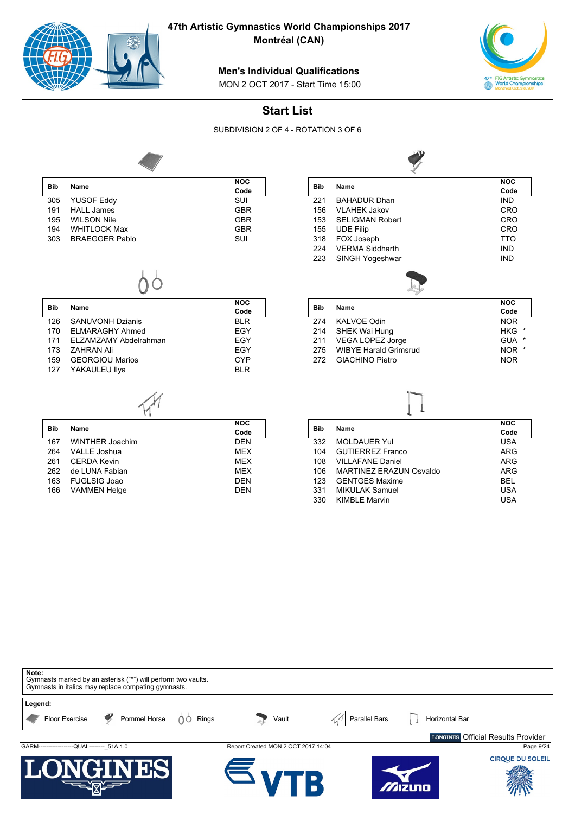

CERDA Kevin

FUGLSIG Joao

**47th Artistic Gymnastics World Championships 2017**

**Montréal (CAN)**

#### **Men's Individual Qualifications**

MON 2 OCT 2017 - Start Time 15:00



**NOC Code**

# **Start List**

SUBDIVISION 2 OF 4 - ROTATION 3 OF 6

**Bib Name**

SINGH Yogeshwar



221 BAHADUR Dhan IND 156 VLAHEK Jakov CRO<br>153 SELIGMAN Robert CRO 153 SELIGMAN Robert CRO<br>155 UDE Filip 155 UDE Filip CRC<br>
318 FOX Joseph CRC CONSULTION CRC FOX Joseph TTC<br>
VERMA Siddharth 
IND 224 VERMA Siddharth IND<br>223 SINGH Yoqeshwar IND

 $\blacksquare$ 

| <b>Bib</b> | Name                  | <b>NOC</b> |
|------------|-----------------------|------------|
|            |                       | Code       |
| 305        | <b>YUSOF Eddy</b>     | SUI        |
| 191        | <b>HALL James</b>     | <b>GBR</b> |
| 195        | <b>WILSON Nile</b>    | <b>GBR</b> |
| 194        | <b>WHITLOCK Max</b>   | <b>GBR</b> |
| 303        | <b>BRAEGGER Pablo</b> | SUI        |
|            |                       |            |



| Bib | Name                    | <b>NOC</b><br>Code |
|-----|-------------------------|--------------------|
| 126 | <b>SANUVONH Dzianis</b> | BI R               |
| 170 | ELMARAGHY Ahmed         | EGY                |
| 171 | ELZAMZAMY Abdelrahman   | EGY                |
| 173 | <b>7AHRAN Ali</b>       | <b>FGY</b>         |
| 159 | <b>GEORGIOU Marios</b>  | CYP                |
|     | 127 YAKAULEU IIya       | RI R               |

167 WINTHER Joachim DEN<br>164 VALLE Joshua DEN MEX 264 VALLE Joshua MEX<br>261 CERDA Kevin MEX MEX

262 de LUNA Fabian MEX<br>163 FUGLSIG Joao MEX DEN

166 VAMMEN Helge DEN

**NOC Code**

| <b>NOC</b><br>Code |
|--------------------|
| <b>NOR</b>         |
| <b>HKG</b>         |
| <b>GUA</b>         |
| <b>NOR</b>         |
| <b>NOR</b>         |
|                    |



| <b>Bib</b> | Name                    | <b>NOC</b> |
|------------|-------------------------|------------|
|            |                         | Code       |
| 332        | <b>MOLDAUER Yul</b>     | <b>USA</b> |
| 104        | <b>GUTIERREZ Franco</b> | <b>ARG</b> |
| 108        | <b>VILLAFANE Daniel</b> | <b>ARG</b> |
| 106        | MARTINEZ ERAZUN Osvaldo | <b>ARG</b> |
| 123        | <b>GENTGES Maxime</b>   | BEL        |
| 331        | <b>MIKULAK Samuel</b>   | USA        |
| 330        | <b>KIMBLE Marvin</b>    | USA        |
|            |                         |            |

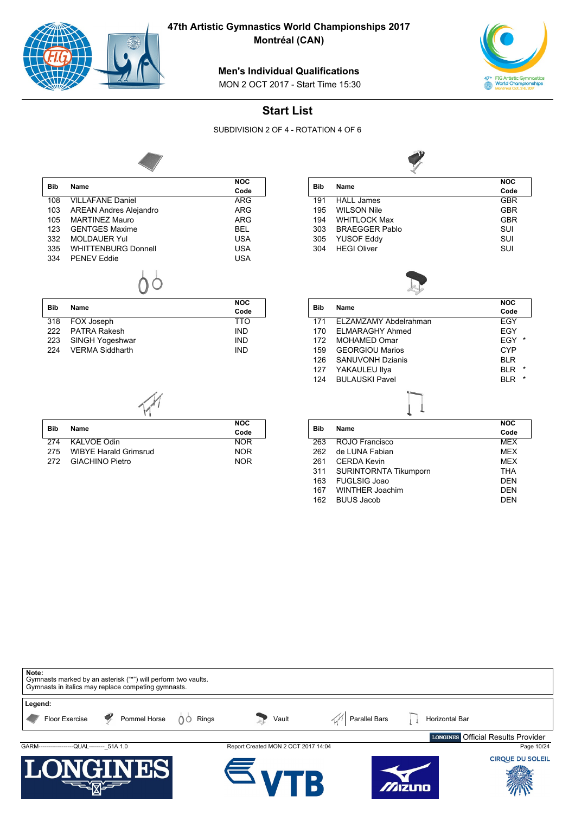

GIACHINO Pietro

**47th Artistic Gymnastics World Championships 2017**

**Montréal (CAN)**

#### **Men's Individual Qualifications**

MON 2 OCT 2017 - Start Time 15:30



# **Start List**

SUBDIVISION 2 OF 4 - ROTATION 4 OF 6

**NOC Code**



| <b>Bib</b> | Name                          | <b>NOC</b> |
|------------|-------------------------------|------------|
|            |                               | Code       |
| 108        | <b>VILLAFANE Daniel</b>       | ARG        |
| 103        | <b>AREAN Andres Alejandro</b> | ARG        |
| 105        | MARTINEZ Mauro                | ARG        |
| 123        | <b>GENTGES Maxime</b>         | <b>BEL</b> |
| 332        | <b>MOLDAUER Yul</b>           | <b>USA</b> |
| 335        | <b>WHITTENBURG Donnell</b>    | <b>USA</b> |
| 334        | <b>PFNFV Fddie</b>            | <b>USA</b> |
|            |                               |            |

| Bib | Name                | <b>NOC</b><br>Code |
|-----|---------------------|--------------------|
|     | 318 FOX Joseph      | TTO                |
|     | 222 PATRA Rakesh    | <b>IND</b>         |
|     | 223 SINGH Yogeshwar | <b>IND</b>         |
| 224 | VERMA Siddharth     | <b>IND</b>         |

274 KALVOE Odin NOR<br>275 WIBYE Harald Grimsrud NOR 275 WIBYE Harald Grimsrud<br>272 GIACHINO Pietro NOR

| Bib |                       | <b>NOC</b> |
|-----|-----------------------|------------|
|     | Name                  | Code       |
| 191 | <b>HALL James</b>     | <b>GBR</b> |
| 195 | <b>WILSON Nile</b>    | <b>GBR</b> |
| 194 | <b>WHITLOCK Max</b>   | <b>GBR</b> |
| 303 | <b>BRAEGGER Pablo</b> | SUI        |
| 305 | <b>YUSOF Eddy</b>     | SUI        |
| 304 | <b>HEGI Oliver</b>    | SUI        |
|     |                       |            |



|     |                        | <b>NOC</b> |
|-----|------------------------|------------|
| Bib | <b>Name</b>            | Code       |
| 171 | FI ZAMZAMY Abdelrahman | EGY        |
| 170 | FI MARAGHY Ahmed       | EGY        |
| 172 | MOHAMED Omar           | EGY        |
| 159 | <b>GEORGIOU Marios</b> | CYP        |
| 126 | SANUVONH Dzianis       | <b>BLR</b> |
| 127 | YAKAULEU IIya          | BI R<br>*  |
| 124 | <b>BULAUSKI Pavel</b>  | BI R<br>*  |
|     |                        |            |

|     | Name                         | <b>NOC</b> |
|-----|------------------------------|------------|
| Bib |                              | Code       |
| 263 | ROJO Francisco               | <b>MEX</b> |
| 262 | de LUNA Fabian               | <b>MEX</b> |
| 261 | <b>CERDA Kevin</b>           | <b>MEX</b> |
| 311 | <b>SURINTORNTA Tikumporn</b> | <b>THA</b> |
| 163 | <b>FUGLSIG Joao</b>          | <b>DEN</b> |
| 167 | WINTHER Joachim              | <b>DFN</b> |
| 162 | <b>BUUS Jacob</b>            | DFN        |

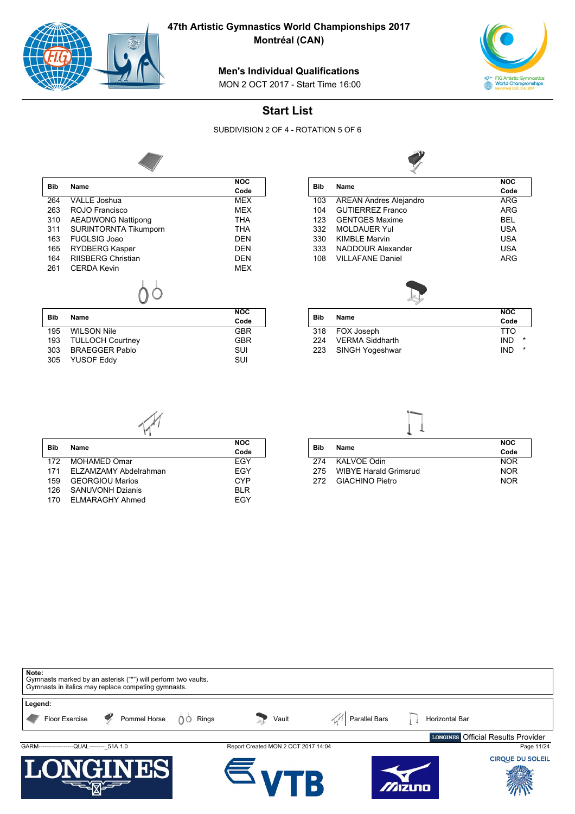

**Montréal (CAN)**

#### **Men's Individual Qualifications**

MON 2 OCT 2017 - Start Time 16:00



**NOC**

┓

# **Start List**

SUBDIVISION 2 OF 4 - ROTATION 5 OF 6



|            |                           | <b>NOC</b> |
|------------|---------------------------|------------|
| <b>Bib</b> | Name                      | Code       |
| 264        | <b>VALLE Joshua</b>       | MEX        |
| 263        | ROJO Francisco            | <b>MEX</b> |
| 310        | <b>AEADWONG Nattipong</b> | THA        |
| 311        | SURINTORNTA Tikumporn     | THA        |
| 163        | <b>FUGLSIG Joao</b>       | <b>DEN</b> |
| 165        | <b>RYDBERG Kasper</b>     | <b>DEN</b> |
| 164        | <b>RIISBERG Christian</b> | DEN        |
| 261        | <b>CERDA Kevin</b>        | MEX        |
|            |                           |            |
| <b>Bib</b> | Name                      | <b>NOC</b> |
|            |                           | Code       |
| $\sqrt{2}$ | 111100011111              | $\sim$ nn  |

| Bib | Name                 | Code       |
|-----|----------------------|------------|
| 195 | WILSON Nile          | <b>GBR</b> |
|     | 193 TULLOCH Courtney | <b>GBR</b> |
| 303 | BRAEGGER Pablo       | SUI        |
|     | 305 YUSOF Eddy       | SUI        |
|     |                      |            |

| Bib |                               | <b>NOC</b> |
|-----|-------------------------------|------------|
|     | Name                          | Code       |
| 103 | <b>AREAN Andres Alejandro</b> | ARG        |
| 104 | GUTIFRRFZ Franco              | ARG        |
| 123 | <b>GENTGES Maxime</b>         | <b>BEL</b> |
| 332 | <b>MOLDAUER Yul</b>           | USA        |
| 330 | <b>KIMBLE Marvin</b>          | USA        |
| 333 | NADDOUR Alexander             | USA        |
| 108 | <b>VILLAFANE Daniel</b>       | ARG        |



|            |                        | <b>NOC</b> |   |
|------------|------------------------|------------|---|
| <b>Bib</b> | Name                   | Code       |   |
|            | 318 FOX Joseph         | <b>TTO</b> |   |
| 224        | <b>VERMA Siddharth</b> | <b>IND</b> | * |
| 223        | SINGH Yogeshwar        | <b>IND</b> | * |
|            |                        |            |   |



| Bib | Name                    | <b>NOC</b> |
|-----|-------------------------|------------|
|     |                         | Code       |
| 172 | MOHAMED Omar            | <b>FGY</b> |
| 171 | ELZAMZAMY Abdelrahman   | <b>FGY</b> |
| 159 | <b>GEORGIOU Marios</b>  | CYP        |
| 126 | <b>SANUVONH Dzianis</b> | <b>BIR</b> |
| 170 | ELMARAGHY Ahmed         | FGY        |



| Bib | Name                         | <b>NOC</b> |
|-----|------------------------------|------------|
|     |                              | Code       |
| 274 | KAI VOF Odin                 | NOR.       |
| 275 | <b>WIBYE Harald Grimsrud</b> | NOR.       |
| 272 | <b>GIACHINO Pietro</b>       | <b>NOR</b> |

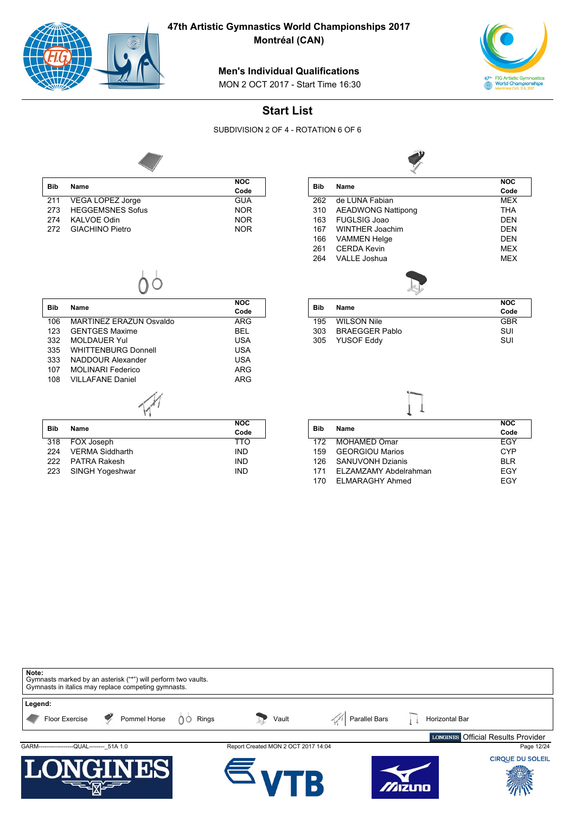

**Montréal (CAN)**

#### **Men's Individual Qualifications**

MON 2 OCT 2017 - Start Time 16:30



# **Start List**

SUBDIVISION 2 OF 4 - ROTATION 6 OF 6



| <b>Bib</b> | Name                 | <b>NOC</b> |
|------------|----------------------|------------|
|            |                      | Code       |
|            | 211 VEGA LOPEZ Jorge | <b>GUA</b> |
|            | 273 HEGGEMSNES Sofus | <b>NOR</b> |
| 274        | <b>KALVOE Odin</b>   | <b>NOR</b> |
|            | 272 GIACHINO Pietro  | <b>NOR</b> |

| Bib | Name                      | <b>NOC</b> |
|-----|---------------------------|------------|
|     |                           | Code       |
| 262 | de LUNA Fabian            | <b>MEX</b> |
| 310 | <b>AEADWONG Nattipong</b> | <b>THA</b> |
| 163 | <b>FUGLSIG Joao</b>       | DEN        |
| 167 | WINTHER Joachim           | DEN        |
| 166 | <b>VAMMEN Helge</b>       | DEN        |
| 261 | CERDA Kevin               | <b>MEX</b> |
| 264 | VALLE Joshua              | <b>MFX</b> |
|     |                           |            |
|     |                           | NOC        |

| <b>Bib</b> | Name                       | <b>NOC</b> |
|------------|----------------------------|------------|
|            |                            | Code       |
| 106        | MARTINEZ ERAZUN Osvaldo    | ARG        |
| 123        | <b>GENTGES Maxime</b>      | BEL        |
| 332        | <b>MOLDAUER Yul</b>        | USA        |
| 335        | <b>WHITTENBURG Donnell</b> | USA        |
| 333        | NADDOUR Alexander          | USA        |
| 107        | <b>MOLINARI Federico</b>   | ARG        |
| 108        | VII I AFANF Daniel         | ARG        |
|            |                            |            |
|            |                            | NOC        |
| <b>Bib</b> | Name                       |            |

 $0^{\circ}$ 

| Bib  | Name                   | Code       |
|------|------------------------|------------|
|      | 318 FOX Joseph         | <b>TTO</b> |
| 224  | <b>VERMA Siddharth</b> | <b>IND</b> |
| 222. | <b>PATRA Rakesh</b>    | <b>IND</b> |
|      | 223 SINGH Yogeshwar    | <b>IND</b> |
|      |                        |            |

| Bib | Name                  | <b>NOC</b><br>Code |
|-----|-----------------------|--------------------|
| 195 | <b>WILSON Nile</b>    | GBR                |
| 303 | <b>BRAEGGER Pablo</b> | SUI                |
| 305 | YUSOF Eddy            | SUI                |
|     |                       |                    |



| <b>Bib</b> |                         | <b>NOC</b> |
|------------|-------------------------|------------|
|            | Name                    | Code       |
| 172        | MOHAMED Omar            | <b>FGY</b> |
| 159        | <b>GEORGIOU Marios</b>  | CYP        |
| 126        | <b>SANUVONH Dzianis</b> | BI R       |
| 171        | ELZAMZAMY Abdelrahman   | FGY        |
| 170        | <b>ELMARAGHY Ahmed</b>  | FGY        |
|            |                         |            |

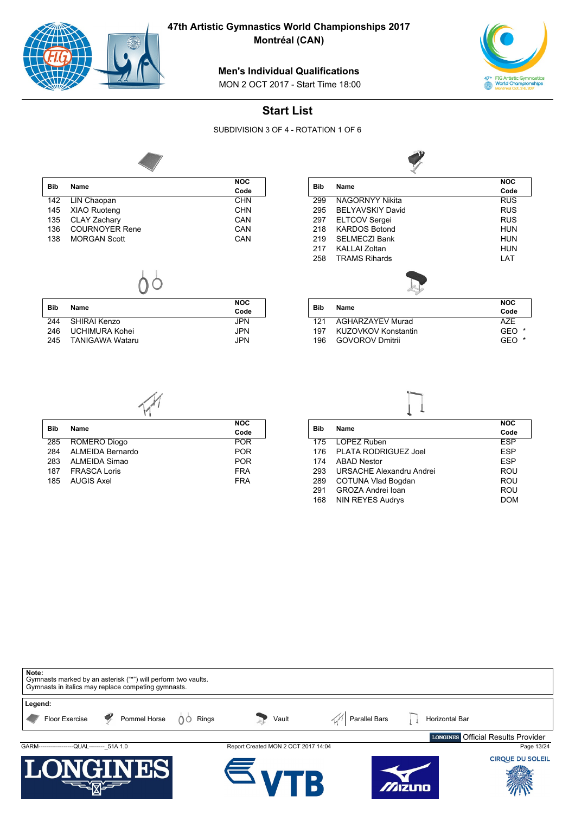

**Montréal (CAN)**

#### **Men's Individual Qualifications**

MON 2 OCT 2017 - Start Time 18:00



# **Start List**

SUBDIVISION 3 OF 4 - ROTATION 1 OF 6



| <b>Bib</b> | Name                  | <b>NOC</b> |
|------------|-----------------------|------------|
|            |                       | Code       |
|            | 142 LIN Chaopan       | <b>CHN</b> |
|            | 145 XIAO Ruoteng      | <b>CHN</b> |
| 135        | CLAY Zachary          | CAN        |
| 136        | <b>COURNOYER Rene</b> | CAN        |
| 138        | <b>MORGAN Scott</b>   | CAN        |
|            |                       |            |

| $\overline{O}$ |
|----------------|
|                |

|            |                        | <b>NOC</b> |
|------------|------------------------|------------|
| <b>Bib</b> | Name                   | Code       |
| 244        | SHIRAI Kenzo           | <b>JPN</b> |
| 246        | <b>UCHIMURA Kohei</b>  | JPN        |
| 245        | <b>TANIGAWA Wataru</b> | JPN.       |

| <b>Bib</b> | Name                     | <b>NOC</b> |
|------------|--------------------------|------------|
|            |                          | Code       |
| 299        | <b>NAGORNYY Nikita</b>   | <b>RUS</b> |
| 295        | <b>BEI YAVSKIY David</b> | <b>RUS</b> |
| 297        | <b>ELTCOV Sergei</b>     | <b>RUS</b> |
| 218        | <b>KARDOS Botond</b>     | <b>HUN</b> |
| 219        | <b>SELMECZI Bank</b>     | <b>HUN</b> |
| 217        | <b>KALLAI Zoltan</b>     | <b>HUN</b> |
| 258        | <b>TRAMS Rihards</b>     | LAT        |
|            |                          |            |
| <b>Bib</b> | Name                     | <b>NOC</b> |
|            |                          | Code       |

| --- | .                    | Code             |
|-----|----------------------|------------------|
|     | 121 AGHARZAYEV Murad | A7F              |
| 197 | KUZOVKOV Konstantin  | GFO <sup>*</sup> |
|     | 196 GOVOROV Dmitrii  | GFO *            |
|     |                      |                  |



| <b>Bib</b> | Name                 | <b>NOC</b> |
|------------|----------------------|------------|
|            |                      | Code       |
| 285        | ROMERO Diogo         | <b>POR</b> |
| 284        | ALMEIDA Bernardo     | <b>POR</b> |
| 283        | <b>ALMEIDA Simao</b> | <b>POR</b> |
| 187        | <b>FRASCA Loris</b>  | <b>FRA</b> |
| 185        | <b>AUGIS Axel</b>    | <b>FRA</b> |

| <b>Bib</b> | Name                     | <b>NOC</b> |
|------------|--------------------------|------------|
|            |                          | Code       |
| 175        | LOPEZ Ruben              | <b>ESP</b> |
| 176        | PLATA RODRIGUEZ Joel     | <b>ESP</b> |
| 174        | <b>ABAD Nestor</b>       | <b>ESP</b> |
| 293        | URSACHE Alexandru Andrei | ROU        |
| 289        | COTUNA Vlad Bogdan       | ROU        |
| 291        | GROZA Andrei Ioan        | ROU        |
| 168        | NIN REYES Audrys         | DOM        |
|            |                          |            |

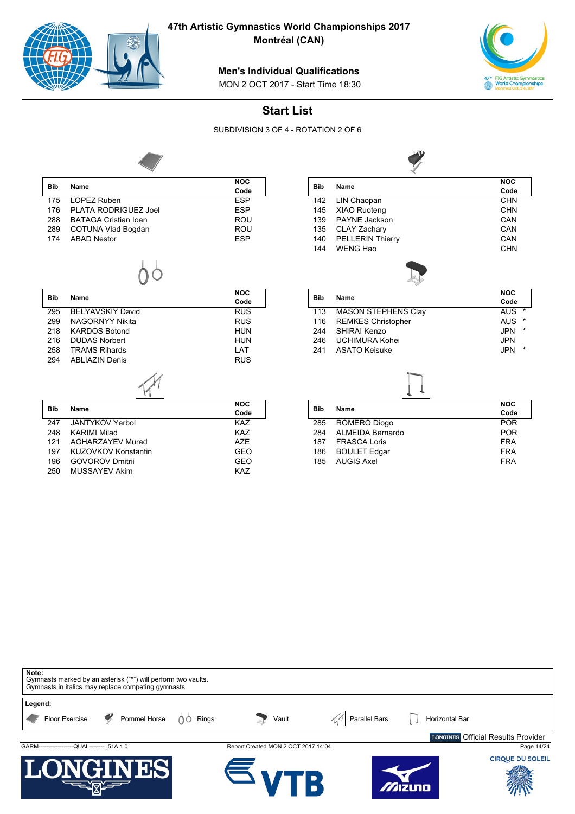

 $\overline{\phantom{a}}$ 

**47th Artistic Gymnastics World Championships 2017**

**Montréal (CAN)**

#### **Men's Individual Qualifications**

MON 2 OCT 2017 - Start Time 18:30



**NOC**

# **Start List**

SUBDIVISION 3 OF 4 - ROTATION 2 OF 6

**Bib Name**



|            |                             | <b>NOC</b> |
|------------|-----------------------------|------------|
| <b>Bib</b> | Name                        | Code       |
| 175        | LOPEZ Ruben                 | <b>ESP</b> |
| 176        | PLATA RODRIGUEZ Joel        | <b>ESP</b> |
| 288        | <b>BATAGA Cristian Ioan</b> | <b>ROU</b> |
| 289        | COTUNA Vlad Bogdan          | <b>ROU</b> |
| 174        | <b>ABAD Nestor</b>          | <b>ESP</b> |
|            |                             |            |

|            |                         | <b>NOC</b> |
|------------|-------------------------|------------|
| <b>Bib</b> | Name                    | Code       |
| 295        | <b>BELYAVSKIY David</b> | <b>RUS</b> |
| 299        | NAGORNYY Nikita         | <b>RUS</b> |
| 218        | <b>KARDOS Botond</b>    | <b>HUN</b> |
| 216        | <b>DUDAS Norbert</b>    | <b>HUN</b> |
| 258        | <b>TRAMS Rihards</b>    | I AT       |
| 294        | <b>ABLIAZIN Denis</b>   | <b>RUS</b> |
|            |                         |            |

| <b>Bib</b> |                         | <b>NOC</b> |
|------------|-------------------------|------------|
|            | Name                    | Code       |
| 247        | JANTYKOV Yerbol         | KA7        |
| 248        | <b>KARIMI Milad</b>     | KA7        |
| 121        | <b>AGHARZAYEV Murad</b> | A7F        |
| 197        | KUZOVKOV Konstantin     | GEO        |
| 196        | <b>GOVOROV Dmitrii</b>  | GEO        |
| 250        | <b>MUSSAYEV Akim</b>    | KA7        |
|            |                         |            |

| вю         | name                       | Code                  |
|------------|----------------------------|-----------------------|
| 142        | LIN Chaopan                | <b>CHN</b>            |
| 145        | <b>XIAO Ruoteng</b>        | <b>CHN</b>            |
| 139        | PAYNE Jackson              | CAN                   |
| 135        | <b>CLAY Zachary</b>        | CAN                   |
| 140        | <b>PELLERIN Thierry</b>    | CAN                   |
| 144        | WENG Hao                   | <b>CHN</b>            |
|            |                            |                       |
| <b>Bib</b> | Name                       | <b>NOC</b>            |
|            |                            | Code                  |
| 113        | <b>MASON STEPHENS Clay</b> | $\star$<br>AUS        |
| 116        | <b>REMKES Christopher</b>  | *<br>AUS              |
| 244        | SHIRAI Kenzo               | $\star$<br>JPN        |
| 246        | <b>UCHIMURA Kohei</b>      | JPN                   |
| 241        | ASATO Keisuke              | $\star$<br><b>JPN</b> |



|     | Name             | <b>NOC</b> |
|-----|------------------|------------|
| Bib |                  | Code       |
|     | 285 ROMERO Diogo | <b>POR</b> |
| 284 | ALMEIDA Bernardo | <b>POR</b> |
| 187 | FRASCA Loris     | <b>FRA</b> |
|     | 186 BOULET Edgar | <b>FRA</b> |
|     | 185 AUGIS Axel   | <b>FRA</b> |
|     |                  |            |

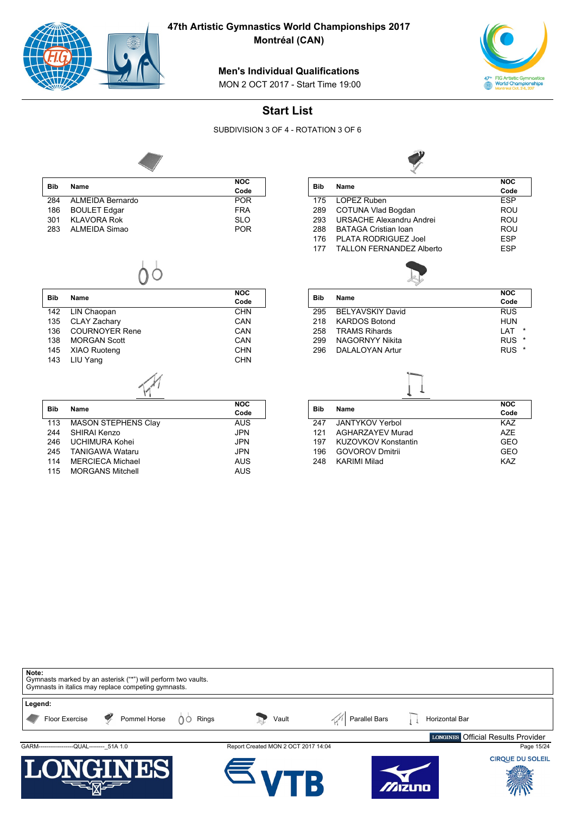

**Montréal (CAN)**

#### **Men's Individual Qualifications**

MON 2 OCT 2017 - Start Time 19:00



# **Start List**

SUBDIVISION 3 OF 4 - ROTATION 3 OF 6



| <b>Bib</b> | Name                | <b>NOC</b> |
|------------|---------------------|------------|
|            |                     | Code       |
| 284        | ALMEIDA Bernardo    | <b>POR</b> |
| 186        | <b>BOULET Edgar</b> | <b>FRA</b> |
| 301        | <b>KLAVORA Rok</b>  | <b>SLO</b> |
| 283        | ALMEIDA Simao       | <b>POR</b> |

| <b>Bib</b> | Name                  | <b>NOC</b> |  |
|------------|-----------------------|------------|--|
|            |                       | Code       |  |
| 142        | LIN Chaopan           | <b>CHN</b> |  |
| 135        | <b>CLAY Zachary</b>   | CAN        |  |
| 136        | <b>COURNOYER Rene</b> | CAN        |  |
| 138        | <b>MORGAN Scott</b>   | CAN        |  |
| 145        | <b>XIAO Ruoteng</b>   | <b>CHN</b> |  |
| 143        | LIU Yang              | <b>CHN</b> |  |
|            |                       |            |  |

| <b>Bib</b> |                            | <b>NOC</b> |
|------------|----------------------------|------------|
|            | Name                       | Code       |
| 113        | <b>MASON STEPHENS Clay</b> | <b>AUS</b> |
| 244        | SHIRAI Kenzo               | <b>JPN</b> |
| 246        | <b>UCHIMURA Kohei</b>      | <b>JPN</b> |
| 245        | <b>TANIGAWA Wataru</b>     | <b>JPN</b> |
| 114        | <b>MERCIECA Michael</b>    | <b>AUS</b> |
| 115        | <b>MORGANS Mitchell</b>    | AUS        |

|     |                                 | <b>NOC</b> |
|-----|---------------------------------|------------|
| Bib | Name                            | Code       |
| 175 | LOPEZ Ruben                     | <b>ESP</b> |
| 289 | COTUNA Vlad Bogdan              | ROU        |
| 293 | <b>URSACHE Alexandru Andrei</b> | ROU        |
| 288 | <b>BATAGA Cristian Ioan</b>     | ROU        |
| 176 | PLATA RODRIGUEZ Joel            | <b>ESP</b> |
| 177 | <b>TALLON FERNANDEZ Alberto</b> | <b>FSP</b> |
|     |                                 |            |



| Bib | <b>Name</b>             | <b>NOC</b><br>Code    |
|-----|-------------------------|-----------------------|
| 295 | <b>BELYAVSKIY David</b> | <b>RUS</b>            |
| 218 | <b>KARDOS Botond</b>    | <b>HUN</b>            |
| 258 | <b>TRAMS Rihards</b>    | I AT<br>*             |
| 299 | NAGORNYY Nikita         | <b>RUS</b><br>$\star$ |
| 296 | DALALOYAN Artur         | <b>RUS</b>            |



|     |                         | <b>NOC</b> |
|-----|-------------------------|------------|
| Bib | <b>Name</b>             | Code       |
| 247 | JANTYKOV Yerbol         | KA7        |
| 121 | <b>AGHARZAYEV Murad</b> | A7F        |
| 197 | KUZOVKOV Konstantin     | GFO        |
| 196 | <b>GOVOROV Dmitrii</b>  | GEO        |
| 248 | <b>KARIMI Milad</b>     | KA7        |
|     |                         |            |

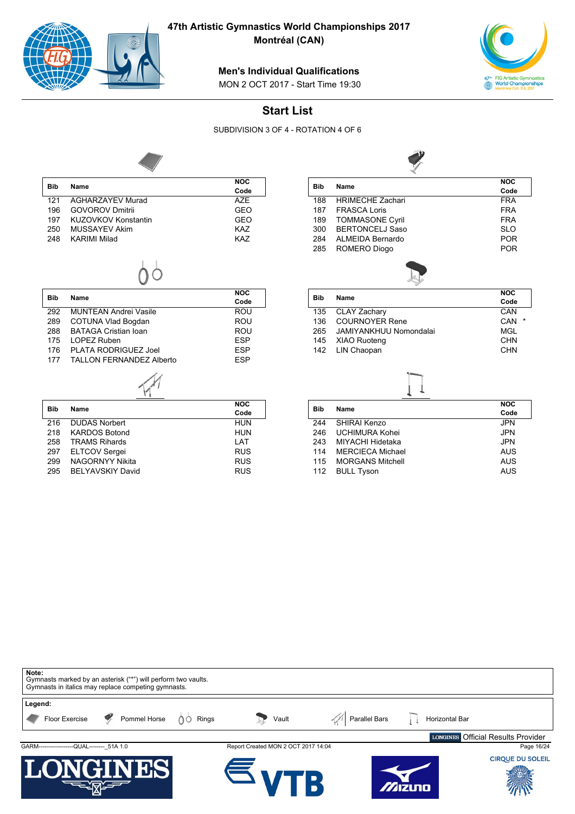

**Montréal (CAN)**

#### **Men's Individual Qualifications**

MON 2 OCT 2017 - Start Time 19:30



# **Start List**

SUBDIVISION 3 OF 4 - ROTATION 4 OF 6



| <b>Bib</b> | Name                       | <b>NOC</b> |
|------------|----------------------------|------------|
|            |                            | Code       |
| 121        | <b>AGHARZAYEV Murad</b>    | A7F        |
| 196        | <b>GOVOROV Dmitrii</b>     | GEO        |
| 197        | <b>KUZOVKOV Konstantin</b> | GEO        |
| 250        | <b>MUSSAYEV Akim</b>       | <b>KAZ</b> |
| 248        | <b>KARIMI Milad</b>        | KA7        |
|            |                            |            |

|     | Name                            | <b>NOC</b> |
|-----|---------------------------------|------------|
| Bib |                                 | Code       |
| 292 | <b>MUNTEAN Andrei Vasile</b>    | ROU        |
| 289 | <b>COTUNA Vlad Bogdan</b>       | ROU        |
| 288 | <b>BATAGA Cristian Ioan</b>     | ROU        |
| 175 | LOPEZ Ruben                     | <b>ESP</b> |
| 176 | PLATA RODRIGUEZ Joel            | <b>ESP</b> |
| 177 | <b>TALLON FERNANDEZ Alberto</b> | <b>ESP</b> |
|     |                                 |            |

|                         | <b>NOC</b>  |
|-------------------------|-------------|
|                         | Code        |
| <b>DUDAS Norbert</b>    | <b>HUN</b>  |
| <b>KARDOS Botond</b>    | <b>HUN</b>  |
| <b>TRAMS Rihards</b>    | LAT         |
| <b>ELTCOV Sergei</b>    | <b>RUS</b>  |
| <b>NAGORNYY Nikita</b>  | <b>RUS</b>  |
| <b>BELYAVSKIY David</b> | <b>RUS</b>  |
|                         | <b>Name</b> |

|            |                         | <b>NOC</b> |
|------------|-------------------------|------------|
| <b>Bib</b> | Name                    | Code       |
| 188        | <b>HRIMECHE Zachari</b> | <b>FRA</b> |
| 187        | <b>FRASCA Loris</b>     | <b>FRA</b> |
| 189        | <b>TOMMASONE Cyril</b>  | <b>FRA</b> |
| 300        | <b>BERTONCELJ Saso</b>  | <b>SLO</b> |
| 284        | ALMEIDA Bernardo        | <b>POR</b> |
| 285        | <b>ROMERO Diogo</b>     | <b>POR</b> |
|            |                         |            |

| Bib | Name                   | <b>NOC</b>     |
|-----|------------------------|----------------|
|     |                        | Code           |
|     | 135 CLAY Zachary       | CAN            |
| 136 | <b>COURNOYER Rene</b>  | CAN<br>$\star$ |
| 265 | JAMIYANKHUU Nomondalai | MGL            |
|     | 145 XIAO Ruoteng       | <b>CHN</b>     |
|     | 142 LIN Chaopan        | CHN            |
|     |                        |                |

| <b>Bib</b> |                         | <b>NOC</b> |
|------------|-------------------------|------------|
|            | Name                    | Code       |
| 244        | SHIRAI Kenzo            | <b>JPN</b> |
| 246        | <b>UCHIMURA Kohei</b>   | <b>JPN</b> |
| 243        | MIYACHI Hidetaka        | <b>JPN</b> |
| 114        | <b>MERCIECA Michael</b> | <b>AUS</b> |
| 115        | <b>MORGANS Mitchell</b> | <b>AUS</b> |
| 112        | <b>BULL Tyson</b>       | <b>AUS</b> |
|            |                         |            |

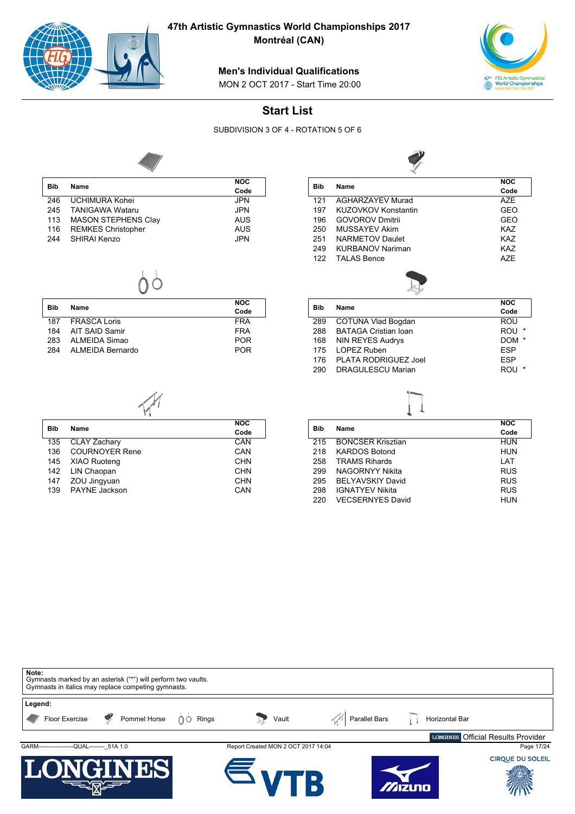

**Montréal (CAN)**

#### **Men's Individual Qualifications**

MON 2 OCT 2017 - Start Time 20:00



#### **Start List**

SUBDIVISION 3 OF 4 - ROTATION 5 OF 6



| <b>Bib</b> | Name                       | <b>NOC</b> |
|------------|----------------------------|------------|
|            |                            | Code       |
| 246        | <b>UCHIMURA Kohei</b>      | <b>JPN</b> |
| 245        | <b>TANIGAWA Wataru</b>     | <b>JPN</b> |
| 113        | <b>MASON STEPHENS Clay</b> | AUS        |
| 116        | <b>REMKES Christopher</b>  | AUS        |
| 244        | SHIRAI Kenzo               | <b>JPN</b> |
|            |                            |            |

| Bib | Name             | <b>NOC</b><br>Code |
|-----|------------------|--------------------|
|     | 187 FRASCA Loris | <b>FRA</b>         |
| 184 | AIT SAID Samir   | <b>FRA</b>         |
| 283 | ALMEIDA Simao    | <b>POR</b>         |
| 284 | ALMEIDA Bernardo | <b>POR</b>         |

| Bib | Name                    | <b>NOC</b> |
|-----|-------------------------|------------|
|     |                         | Code       |
| 121 | AGHARZAYEV Murad        | A7F        |
| 197 | KUZOVKOV Konstantin     | GEO        |
| 196 | <b>GOVOROV Dmitrii</b>  | GEO        |
| 250 | <b>MUSSAYEV Akim</b>    | KA7        |
| 251 | <b>NARMETOV Daulet</b>  | KA7        |
| 249 | <b>KURBANOV Nariman</b> | <b>KAZ</b> |
| 122 | <b>TALAS Bence</b>      | A7F        |
|     |                         |            |



| Bib | Name                        | <b>NOC</b> |
|-----|-----------------------------|------------|
|     |                             | Code       |
| 289 | COTUNA Vlad Bogdan          | ROU        |
| 288 | <b>BATAGA Cristian Ioan</b> | ROU<br>*   |
| 168 | <b>NIN REYES Audrys</b>     | <b>DOM</b> |
| 175 | LOPEZ Ruben                 | <b>ESP</b> |
| 176 | PLATA RODRIGUEZ Joel        | <b>ESP</b> |
| 290 | <b>DRAGULESCU Marian</b>    | ROU<br>*   |
|     |                             |            |

| <b>Bib</b> | Name                  | <b>NOC</b> |
|------------|-----------------------|------------|
|            |                       | Code       |
| 135        | <b>CLAY Zachary</b>   | CAN        |
| 136        | <b>COURNOYER Rene</b> | CAN        |
| 145        | <b>XIAO Ruoteng</b>   | <b>CHN</b> |
| 142        | LIN Chaopan           | <b>CHN</b> |
| 147        | ZOU Jingyuan          | <b>CHN</b> |
| 139        | <b>PAYNE Jackson</b>  | CAN        |

| <b>Bib</b> | Name                     | <b>NOC</b> |
|------------|--------------------------|------------|
|            |                          | Code       |
| 215        | <b>BONCSER Krisztian</b> | HUN        |
| 218        | KARDOS Botond            | <b>HUN</b> |
| 258        | <b>TRAMS Rihards</b>     | I AT       |
| 299        | NAGORNYY Nikita          | <b>RUS</b> |
| 295        | <b>BELYAVSKIY David</b>  | <b>RUS</b> |
| 298        | <b>IGNATYEV Nikita</b>   | <b>RUS</b> |
| 220        | <b>VECSERNYES David</b>  | HUN        |

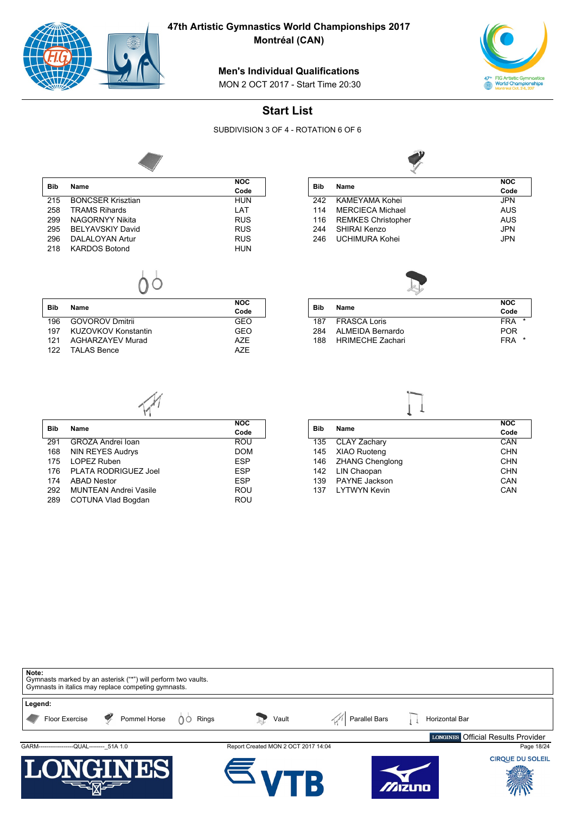

196 GOVOROV Dmitrii

TALAS Bence

**47th Artistic Gymnastics World Championships 2017**

**Montréal (CAN)**

#### **Men's Individual Qualifications**

MON 2 OCT 2017 - Start Time 20:30



# **Start List**

SUBDIVISION 3 OF 4 - ROTATION 6 OF 6

**NOC** Code<br>GEO



| <b>Bib</b> | Name                     | <b>NOC</b> |
|------------|--------------------------|------------|
|            |                          | Code       |
| 215        | <b>BONCSER Krisztian</b> | <b>HUN</b> |
| 258        | <b>TRAMS Rihards</b>     | LAT        |
| 299        | NAGORNYY Nikita          | <b>RUS</b> |
| 295        | <b>BELYAVSKIY David</b>  | <b>RUS</b> |
| 296        | DALALOYAN Artur          | <b>RUS</b> |
| 218        | <b>KARDOS Botond</b>     | <b>HUN</b> |
|            |                          |            |

197 KUZOVKOV Konstantin GEO 121 AGHARZAYEV Murad<br>122 TALAS Bence **AZE** 

∩∩

|                           | <b>NOC</b> |
|---------------------------|------------|
|                           | Code       |
| <b>KAMEYAMA Kohei</b>     | <b>JPN</b> |
| <b>MERCIECA Michael</b>   | <b>AUS</b> |
| <b>REMKES Christopher</b> | <b>AUS</b> |
| SHIRAI Kenzo              | <b>JPN</b> |
| <b>UCHIMURA Kohei</b>     | JPN.       |
|                           | Name       |



| Bib | Name             | <b>NOC</b><br>Code |
|-----|------------------|--------------------|
| 187 | FRASCA Loris     | $\star$<br>FRA     |
| 284 | ALMEIDA Bernardo | <b>POR</b>         |
| 188 | HRIMECHE Zachari | <b>FRA</b><br>*    |

| <b>Bib</b> | Name                    | <b>NOC</b> |
|------------|-------------------------|------------|
|            |                         | Code       |
| 291        | GROZA Andrei Ioan       | <b>ROU</b> |
| 168        | <b>NIN REYES Audrys</b> | <b>DOM</b> |
| 175        | LOPEZ Ruben             | <b>ESP</b> |
| 176        | PLATA RODRIGUEZ Joel    | <b>ESP</b> |
| 174        | <b>ABAD Nestor</b>      | <b>ESP</b> |

292 MUNTEAN Andrei Vasile **ROU** 289 COTUNA Vlad Bogdan ROU



|            | Name                | <b>NOC</b> |  |
|------------|---------------------|------------|--|
| <b>Bib</b> |                     | Code       |  |
|            | 135 CLAY Zachary    | CAN        |  |
|            | 145 XIAO Ruoteng    | <b>CHN</b> |  |
|            | 146 ZHANG Chenglong | <b>CHN</b> |  |
|            | 142 LIN Chaopan     | <b>CHN</b> |  |
|            | 139 PAYNE Jackson   | CAN        |  |
| 137        | LYTWYN Kevin        | CAN        |  |
|            |                     |            |  |

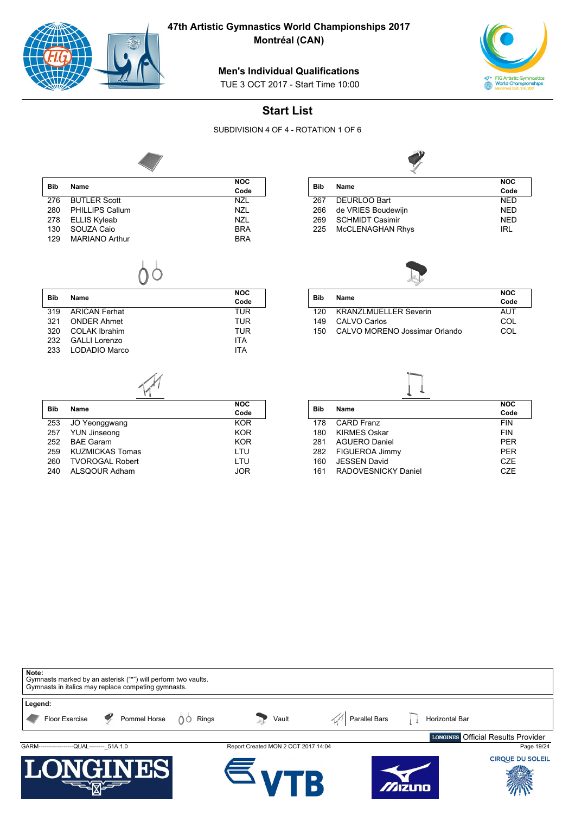

 $\Gamma$ 

**47th Artistic Gymnastics World Championships 2017**

**Montréal (CAN)**

#### **Men's Individual Qualifications**

TUE 3 OCT 2017 - Start Time 10:00



# **Start List**

SUBDIVISION 4 OF 4 - ROTATION 1 OF 6



| <b>Bib</b> |                        | <b>NOC</b> |
|------------|------------------------|------------|
|            | Name                   | Code       |
| 276        | <b>BUTLER Scott</b>    | N71        |
| 280        | <b>PHILLIPS Callum</b> | <b>NZL</b> |
| 278        | <b>ELLIS Kyleab</b>    | <b>NZL</b> |
| 130        | SOUZA Caio             | <b>BRA</b> |
| 129        | <b>MARIANO Arthur</b>  | <b>BRA</b> |
|            |                        |            |

| Code |
|------|

| <b>Bib</b> |                        | <b>NOC</b> |
|------------|------------------------|------------|
|            | Name                   | Code       |
| 253        | JO Yeonggwang          | KOR        |
|            | 257 YUN Jinseong       | KOR        |
| 252        | <b>BAE Garam</b>       | <b>KOR</b> |
| 259        | <b>KUZMICKAS Tomas</b> | LTU        |
| 260        | <b>TVOROGAL Robert</b> | I TU       |
| 240        | ALSQOUR Adham          | .IOR       |

|                         | <b>NOC</b> |
|-------------------------|------------|
|                         | Code       |
| DEURLOO Bart            | <b>NED</b> |
| de VRIES Boudewijn      | <b>NED</b> |
| <b>SCHMIDT Casimir</b>  | <b>NED</b> |
| <b>MCCLENAGHAN Rhys</b> | IRI        |
|                         | Name       |



|     |                               | <b>NOC</b> |
|-----|-------------------------------|------------|
| Bib | Name                          | Code       |
| 120 | <b>KRANZLMUELLER Severin</b>  | AUT        |
| 149 | CALVO Carlos                  | COL        |
| 150 | CALVO MORENO Jossimar Orlando | COL        |

| Bib | Name                 | <b>NOC</b> |  |  |
|-----|----------------------|------------|--|--|
|     |                      | Code       |  |  |
| 178 | <b>CARD Franz</b>    | <b>FIN</b> |  |  |
| 180 | <b>KIRMES Oskar</b>  | <b>FIN</b> |  |  |
| 281 | <b>AGUERO Daniel</b> | <b>PER</b> |  |  |
| 282 | FIGUEROA Jimmy       | <b>PER</b> |  |  |
| 160 | <b>JESSEN David</b>  | CZE.       |  |  |
| 161 | RADOVESNICKY Daniel  | CZE        |  |  |

 $\Box$ 

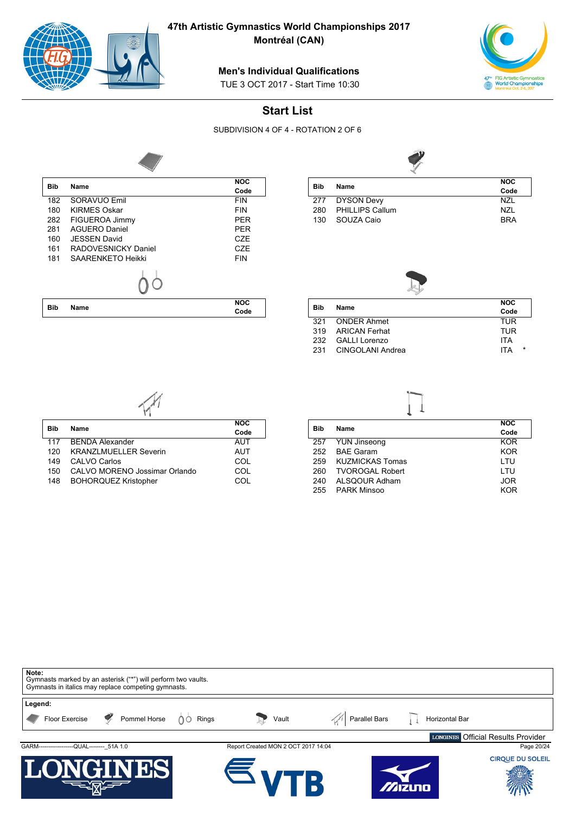

**Bib Name**

**47th Artistic Gymnastics World Championships 2017**

**Montréal (CAN)**

#### **Men's Individual Qualifications**

TUE 3 OCT 2017 - Start Time 10:30



# **Start List**

SUBDIVISION 4 OF 4 - ROTATION 2 OF 6

**NOC Code**

**NOC Code Bib Name**



| Bib |                        | <b>NOC</b> |
|-----|------------------------|------------|
|     | Name                   | Code       |
|     | 277 DYSON Devy         | N71        |
| 280 | <b>PHILLIPS Callum</b> | N71.       |
| 130 | SOUZA Caio             | <b>BRA</b> |



| Bib | Name               | <b>NOC</b><br>Code    |
|-----|--------------------|-----------------------|
| 321 | <b>ONDER Ahmet</b> | TUR                   |
| 319 | ARICAN Ferhat      | TUR                   |
| 232 | GALLI Lorenzo      | <b>ITA</b>            |
| 231 | CINGOLANI Andrea   | <b>ITA</b><br>$\star$ |

| <b>Bib</b> | Name                          | <b>NOC</b> |
|------------|-------------------------------|------------|
|            |                               | Code       |
| 117        | <b>BENDA Alexander</b>        | <b>AUT</b> |
| 120        | <b>KRANZLMUELLER Severin</b>  | <b>AUT</b> |
| 149        | CALVO Carlos                  | COL        |
| 150        | CALVO MORENO Jossimar Orlando | COL        |
| 148        | <b>BOHORQUEZ Kristopher</b>   | COL        |

182 SORAVUO Emil<br>180 KIRMES Oskar FINFIN 180 KIRMES Oskar FIN<br>1982 FIGUEROA Jimmy The Sea FIN 282 FIGUEROA Jimmy PER<br>281 AGUERO Daniel PER 281 AGUERO Daniel PER<br>160 JESSEN David PER CZE 160 JESSEN David CZE 161 RADOVESNICKY Daniel CZE<br>181 SAARENKETO Heikki CHARA FIN

SAARENKETO Heikki

| <b>Bib</b> | <b>Name</b>            | <b>NOC</b> |  |
|------------|------------------------|------------|--|
|            |                        | Code       |  |
| 257        | <b>YUN Jinseong</b>    | <b>KOR</b> |  |
| 252        | <b>BAE Garam</b>       | <b>KOR</b> |  |
| 259        | <b>KUZMICKAS Tomas</b> | LTU        |  |
| 260        | <b>TVOROGAL Robert</b> | LTU        |  |
| 240        | ALSQOUR Adham          | <b>JOR</b> |  |
| 255        | <b>PARK Minsoo</b>     | KOR        |  |
|            |                        |            |  |

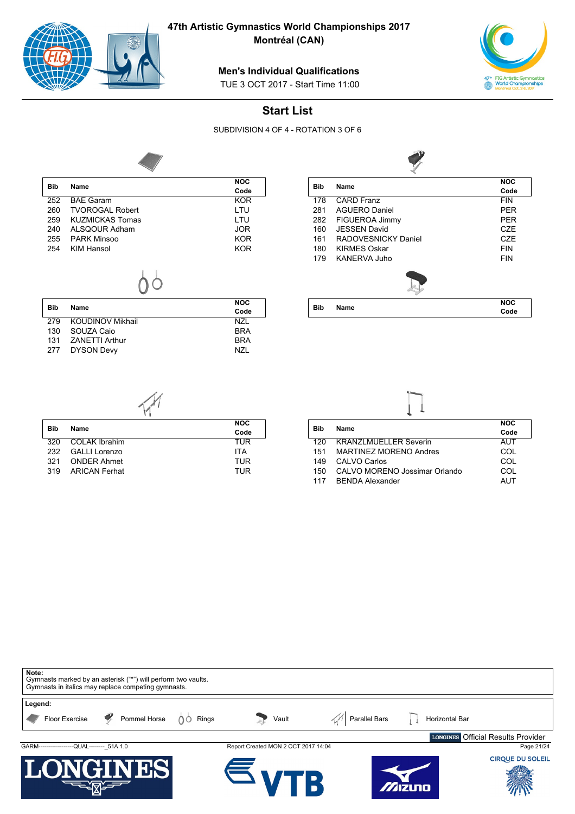

279 KOUDINOV Mikhail

**47th Artistic Gymnastics World Championships 2017**

**Montréal (CAN)**

#### **Men's Individual Qualifications**

TUE 3 OCT 2017 - Start Time 11:00



**Code**

# **Start List**

SUBDIVISION 4 OF 4 - ROTATION 3 OF 6

**NOC** Code<br>NZL



| <b>Bib</b> | Name                   | <b>NOC</b> |  |  |
|------------|------------------------|------------|--|--|
|            |                        | Code       |  |  |
| 252        | <b>BAE Garam</b>       | <b>KOR</b> |  |  |
| 260        | <b>TVOROGAL Robert</b> | LTU        |  |  |
| 259        | <b>KUZMICKAS Tomas</b> | LTU        |  |  |
| 240        | ALSOOUR Adham          | JOR        |  |  |
| 255        | <b>PARK Minsoo</b>     | <b>KOR</b> |  |  |
| 254        | KIM Hansol             | <b>KOR</b> |  |  |
|            |                        |            |  |  |

 $\bigcirc$ 

| Bib | Name                 | <b>NOC</b>      |
|-----|----------------------|-----------------|
|     |                      | Code            |
| 178 | <b>CARD Franz</b>    | <b>FIN</b>      |
| 281 | <b>AGUERO Daniel</b> | <b>PER</b>      |
| 282 | FIGUEROA Jimmy       | <b>PER</b>      |
| 160 | <b>JESSEN David</b>  | CZE             |
| 161 | RADOVESNICKY Daniel  | CZE             |
| 180 | <b>KIRMES Oskar</b>  | <b>FIN</b>      |
| 179 | KANFRVA Juho         | <b>FIN</b>      |
|     |                      |                 |
| Bib |                      | <b>NOC</b>      |
|     | Name                 | <b>A</b> - -1 - |

| 131 ZANETTI Arthur | <b>BRA</b> |
|--------------------|------------|
| 277 DYSON Devy     | <b>NZL</b> |
|                    |            |
|                    |            |
|                    |            |
|                    |            |

130 SOUZA Caio **BRA** 

| <b>Bib</b> | Name                 | <b>NOC</b> |  |
|------------|----------------------|------------|--|
|            |                      | Code       |  |
| 320        | <b>COLAK Ibrahim</b> | <b>TUR</b> |  |
| 232        | <b>GALLI Lorenzo</b> | <b>ITA</b> |  |
| 321        | <b>ONDER Ahmet</b>   | <b>TUR</b> |  |
| 319        | <b>ARICAN Ferhat</b> | <b>TUR</b> |  |

| Bib | <b>Name</b>                   | <b>NOC</b> |  |  |
|-----|-------------------------------|------------|--|--|
|     |                               | Code       |  |  |
| 120 | <b>KRANZLMUELLER Severin</b>  | AUT        |  |  |
| 151 | <b>MARTINEZ MORENO Andres</b> | COL        |  |  |
| 149 | <b>CALVO Carlos</b>           | COL        |  |  |
| 150 | CALVO MORENO Jossimar Orlando | COL        |  |  |
| 117 | <b>BENDA Alexander</b>        | AI JT      |  |  |

 $\Box$ 

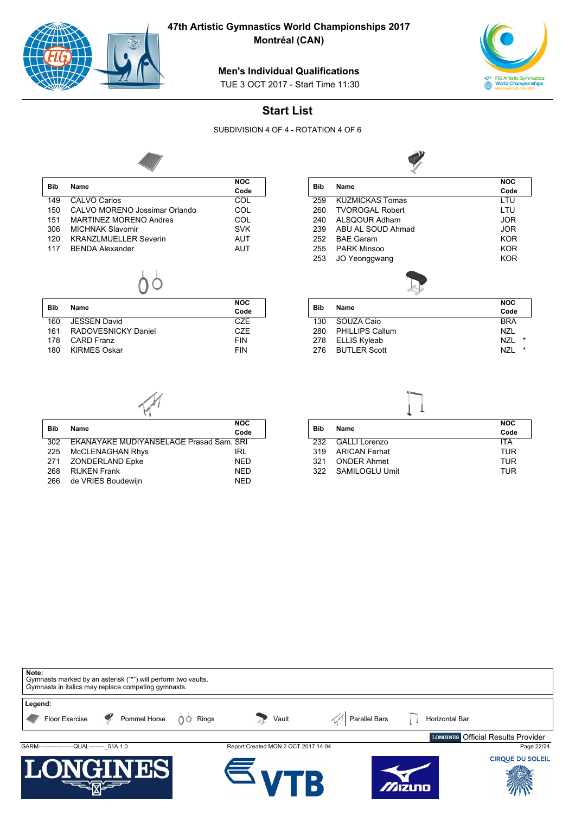

**Montréal (CAN)**

#### **Men's Individual Qualifications**

TUE 3 OCT 2017 - Start Time 11:30



# **Start List**

SUBDIVISION 4 OF 4 - ROTATION 4 OF 6



| <b>Bib</b> | Name                          | <b>NOC</b> |
|------------|-------------------------------|------------|
|            |                               | Code       |
| 149        | CALVO Carlos                  | COL        |
| 150        | CALVO MORENO Jossimar Orlando | COL        |
| 151        | <b>MARTINEZ MORENO Andres</b> | COL        |
| 306        | <b>MICHNAK Slavomir</b>       | <b>SVK</b> |
| 120        | <b>KRANZLMUELLER Severin</b>  | AUT        |
| 117        | <b>BENDA Alexander</b>        | AUT        |
|            |                               |            |

| Name                | <b>NOC</b><br>Code |
|---------------------|--------------------|
| <b>JESSEN David</b> | CZE.               |
| RADOVESNICKY Daniel | CZE.               |
|                     | <b>FIN</b>         |
| <b>KIRMES Oskar</b> | <b>FIN</b>         |
|                     | CARD Franz         |

| Bib | Name                   | <b>NOC</b> |
|-----|------------------------|------------|
|     |                        | Code       |
| 259 | <b>KUZMICKAS Tomas</b> | LTU        |
| 260 | <b>TVOROGAI Robert</b> | LTU        |
| 240 | ALSOOUR Adham          | <b>JOR</b> |
| 239 | ABU AL SOUD Ahmad      | <b>JOR</b> |
| 252 | <b>BAE Garam</b>       | <b>KOR</b> |
| 255 | <b>PARK Minson</b>     | <b>KOR</b> |
| 253 | JO Yeonggwang          | <b>KOR</b> |
|     |                        |            |

| Bib | <b>Name</b>            | <b>NOC</b><br>Code |
|-----|------------------------|--------------------|
| 130 | SOUZA Caio             | <b>BRA</b>         |
| 280 | <b>PHILLIPS Callum</b> | N71.               |
| 278 | ELLIS Kyleab           | $\star$<br>N71     |
| 276 | <b>BUTLER Scott</b>    | *<br>N71           |

|--|--|

|            |                                         | <b>NOC</b> |
|------------|-----------------------------------------|------------|
| <b>Bib</b> | Name                                    | Code       |
| 302        | EKANAYAKE MUDIYANSELAGE Prasad Sam, SRI |            |
| 225        | <b>McCLENAGHAN Rhys</b>                 | IRL        |
|            | 271 ZONDERLAND Epke                     | <b>NED</b> |
| 268        | <b>RIJKEN Frank</b>                     | <b>NED</b> |
| 266        | de VRIES Boudewijn                      | <b>NFD</b> |

|     | -                    |            |
|-----|----------------------|------------|
| Bib |                      | <b>NOC</b> |
|     | Name                 | Code       |
| 232 | <b>GALLI Lorenzo</b> | <b>ITA</b> |
| 319 | <b>ARICAN Ferhat</b> | TUR        |
| 321 | <b>ONDER Ahmet</b>   | TUR        |
| 322 | SAMILOGLU Umit       | TUR        |

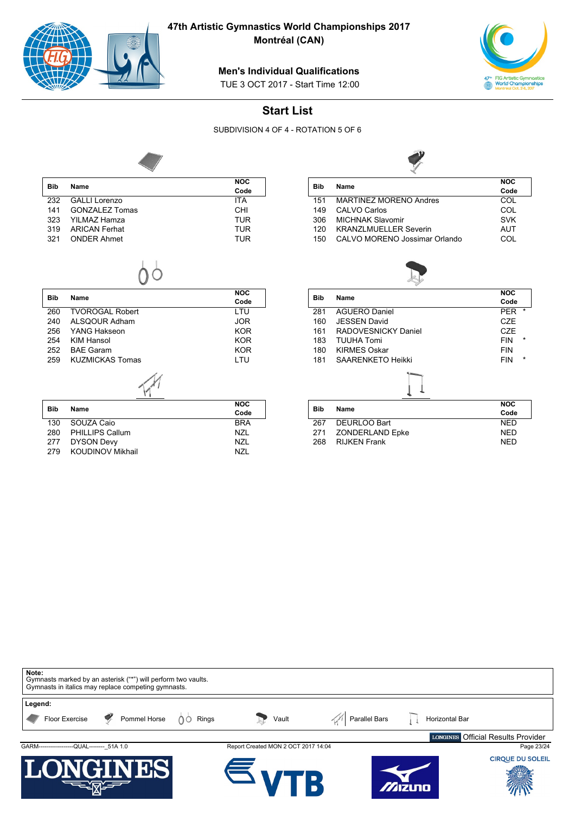

**Montréal (CAN)**

#### **Men's Individual Qualifications**

TUE 3 OCT 2017 - Start Time 12:00



# **Start List**

SUBDIVISION 4 OF 4 - ROTATION 5 OF 6



|            | $\scriptstyle\sim$    |            |
|------------|-----------------------|------------|
|            |                       | <b>NOC</b> |
| <b>Bib</b> | Name                  | Code       |
| 232        | <b>GALLI Lorenzo</b>  | <b>ITA</b> |
| 141        | <b>GONZALEZ Tomas</b> | CHI        |
| 323        | YILMAZ Hamza          | <b>TUR</b> |
| 319        | <b>ARICAN Ferhat</b>  | TUR        |
| 321        | <b>ONDER Ahmet</b>    | <b>TUR</b> |
|            |                       |            |

|--|--|--|

| <b>Bib</b>           | Name                   | NOC        |
|----------------------|------------------------|------------|
|                      |                        | Code       |
| 260                  | <b>TVOROGAL Robert</b> | LTU        |
| 240                  | ALSOOUR Adham          | JOR        |
| 256                  | YANG Hakseon           | <b>KOR</b> |
| 254                  | KIM Hansol             | <b>KOR</b> |
| 252                  | <b>BAE Garam</b>       | <b>KOR</b> |
| 259                  | <b>KUZMICKAS Tomas</b> | LTU        |
|                      |                        |            |
| <b>Bib</b>           | Name                   | <b>NOC</b> |
|                      |                        | Code       |
| $\sim$ $\sim$ $\sim$ | -------                | -- -       |

| 130 SOUZA Caio       | <b>BRA</b> |
|----------------------|------------|
| 280 PHILLIPS Callum  | N71        |
| 277 DYSON Devy       | N71        |
| 279 KOUDINOV Mikhail | N71        |
|                      |            |

|     |                               | <b>NOC</b> |
|-----|-------------------------------|------------|
| Bib | <b>Name</b>                   | Code       |
| 151 | MARTINEZ MORENO Andres        | COL        |
| 149 | CALVO Carlos                  | COL        |
| 306 | <b>MICHNAK Slavomir</b>       | <b>SVK</b> |
| 120 | <b>KRANZLMUELLER Severin</b>  | AUT        |
| 150 | CALVO MORENO Jossimar Orlando |            |



|            |                        | NOC        |         |
|------------|------------------------|------------|---------|
| <b>Bib</b> | Name                   | Code       |         |
| 281        | <b>AGUERO Daniel</b>   | PER        | $\star$ |
| 160        | <b>JESSEN David</b>    | CZE        |         |
| 161        | RADOVESNICKY Daniel    | CZE        |         |
| 183        | <b>TUUHA Tomi</b>      | <b>FIN</b> | $\star$ |
| 180        | <b>KIRMES Oskar</b>    | <b>FIN</b> |         |
| 181        | SAARENKETO Heikki      | <b>FIN</b> | $\star$ |
|            |                        |            |         |
| Bib        | Name                   | <b>NOC</b> |         |
|            |                        | Code       |         |
| 267        | DEURLOO Bart           | <b>NED</b> |         |
| 271        | <b>ZONDERLAND Epke</b> | <b>NED</b> |         |
| 268        | <b>RIJKEN Frank</b>    | <b>NED</b> |         |